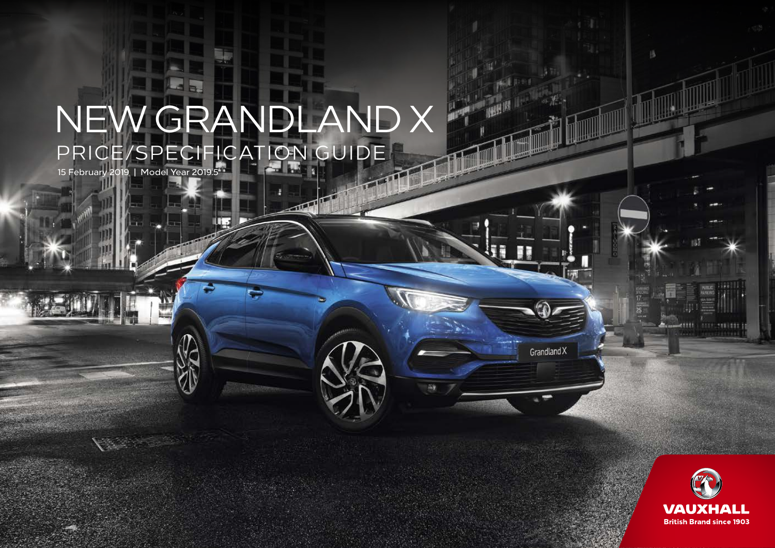# PRICE/SPECIFICATION GUIDE NEW GRANDLAND X

m

 $\sqrt{2}$ 

15 February 2019 | Model Year 2019.5



顶

Grandland X

臨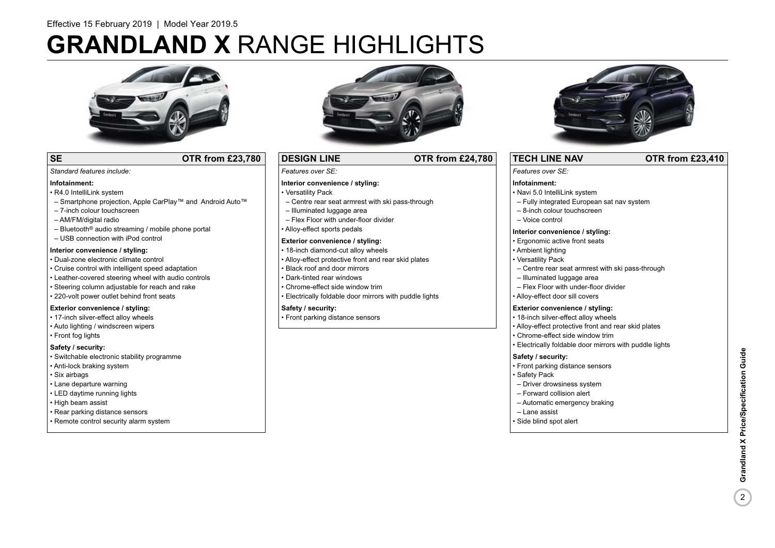# **GRANDLAND X** RANGE HIGHLIGHTS



### **SE OTR from £23,780**

### *Features over SE:*

### **Interior convenience / styling:**

- Versatility Pack
- Centre rear seat armrest with ski pass-through
- Illuminated luggage area
- Flex Floor with under-floor divider
- Alloy-effect sports pedals

### **Exterior convenience / styling:**

- 18-inch diamond-cut alloy wheels
- Alloy-effect protective front and rear skid plates
- Black roof and door mirrors
- 
- Chrome-effect side window trim
- Electrically foldable door mirrors with puddle lights

### **Safety / security:**

• Front parking distance sensors



### **TECH LINE NAV OTR from £23,410**

*Features over SE:* 

### **Infotainment:**

- Navi 5.0 IntelliLink system
- Fully integrated European sat nav system
- 8-inch colour touchscreen
- Voice control

### **Interior convenience / styling:**

- Ergonomic active front seats
- Ambient lighting
- Versatility Pack
- Centre rear seat armrest with ski pass-through
- Illuminated luggage area
- Flex Floor with under-floor divider
- Alloy-effect door sill covers

### **Exterior convenience / styling:**

- 18-inch silver-effect alloy wheels
- Alloy-effect protective front and rear skid plates
- Chrome-effect side window trim • Electrically foldable door mirrors with puddle lights

### **Safety / security:**

- Front parking distance sensors
- Safety Pack
- Driver drowsiness system
- Forward collision alert
- Automatic emergency braking
- Lane assist
- Side blind spot alert

– Smartphone projection, Apple CarPlay™ and Android Auto™

- 7-inch colour touchscreen
- AM/FM/digital radio

• R4.0 IntelliLink system

*Standard features include:* 

**Infotainment:**

- $-$  Bluetooth<sup>®</sup> audio streaming / mobile phone portal
- USB connection with iPod control

### **Interior convenience / styling:**

#### • Dual-zone electronic climate control

- Cruise control with intelligent speed adaptation
- Leather-covered steering wheel with audio controls
- Steering column adjustable for reach and rake
- 220-volt power outlet behind front seats

### **Exterior convenience / styling:**

- 17-inch silver-effect alloy wheels
- Auto lighting / windscreen wipers
- Front fog lights

### **Safety / security:**

- Switchable electronic stability programme
- Anti-lock braking system
- Six airbags
- Lane departure warning
- LED daytime running lights
- High beam assist
- Rear parking distance sensors
- Remote control security alarm system







**DESIGN LINE OTR from £24,780**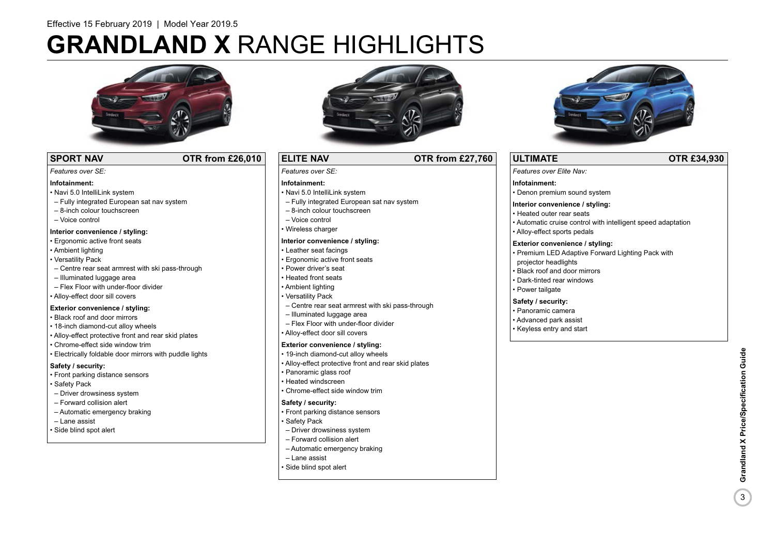# **GRANDLAND X** RANGE HIGHLIGHTS



### **SPORT NAV COTR from £26,010**

#### *Features over SE:*

### **Infotainment:**

- Navi 5.0 IntelliLink system
- Fully integrated European sat nav system
- 8-inch colour touchscreen
- Voice control

### **Interior convenience / styling:**

- Ergonomic active front seats
- Ambient lighting
- Versatility Pack
- Centre rear seat armrest with ski pass-through
- Illuminated luggage area
- Flex Floor with under-floor divider
- Alloy-effect door sill covers

### **Exterior convenience / styling:**

- Black roof and door mirrors
- 18-inch diamond-cut alloy wheels
- Alloy-effect protective front and rear skid plates
- Chrome-effect side window trim
- Electrically foldable door mirrors with puddle lights

### **Safety / security:**

- Front parking distance sensors
- Safety Pack
- Driver drowsiness system
- Forward collision alert
- Automatic emergency braking
- Lane assist
- Side blind spot alert



### **ELITE NAV OTR from £27,760**

*Features over SE:* 

### **Infotainment:**

- Navi 5.0 IntelliLink system
- Fully integrated European sat nav system
- 8-inch colour touchscreen
- Voice control
- Wireless charger

### **Interior convenience / styling:**

- Leather seat facings
- Ergonomic active front seats
- Power driver's seat
- Heated front seats
- Ambient lighting
- Versatility Pack
- Centre rear seat armrest with ski pass-through
- Illuminated luggage area
- Flex Floor with under-floor divider
- Alloy-effect door sill covers

### **Exterior convenience / styling:**

- 19-inch diamond-cut alloy wheels
- Alloy-effect protective front and rear skid plates
- Panoramic glass roof
- Heated windscreen
- Chrome-effect side window trim

### **Safety / security:**

- Front parking distance sensors
- Safety Pack
- Driver drowsiness system
- Forward collision alert
- Automatic emergency braking
- Lane assist
- Side blind spot alert



### **ULTIMATE OTR £34,930**

*Features over Elite Nav:* 

### **Infotainment:**

• Denon premium sound system

### **Interior convenience / styling:**

- Heated outer rear seats
- Automatic cruise control with intelligent speed adaptation
- Alloy-effect sports pedals

### **Exterior convenience / styling:**

- Premium LED Adaptive Forward Lighting Pack with projector headlights
- Black roof and door mirrors
- Dark-tinted rear windows
- Power tailgate

### **Safety / security:**

- Panoramic camera
- Advanced park assist
- Keyless entry and start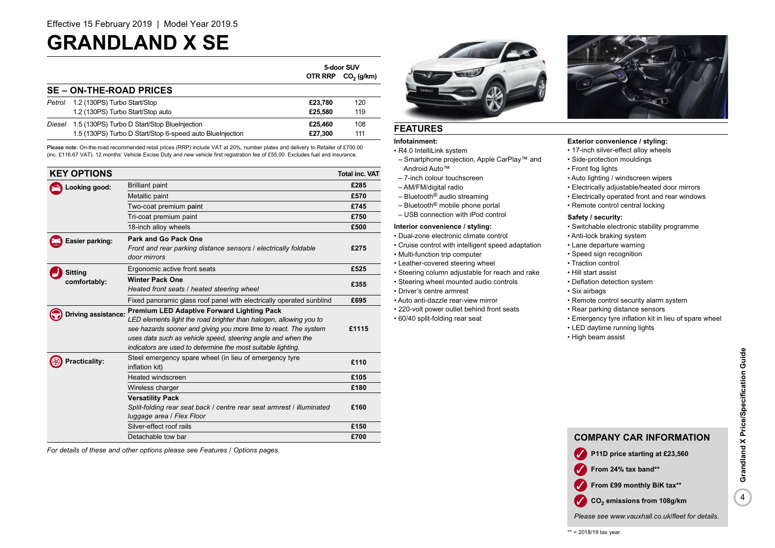### **GRANDLAND X SE**

|                                |                                                           | 5-door SUV |                      |
|--------------------------------|-----------------------------------------------------------|------------|----------------------|
|                                |                                                           |            | OTR RRP $CO2 (q/km)$ |
| <b>SE – ON-THE-ROAD PRICES</b> |                                                           |            |                      |
| Petrol                         | 1.2 (130PS) Turbo Start/Stop                              | £23.780    | 120                  |
|                                | 1.2 (130PS) Turbo Start/Stop auto                         | £25.580    | 119                  |
|                                | Diesel 1.5 (130PS) Turbo D Start/Stop BlueInjection       | £25,460    | 108                  |
|                                | 1.5 (130PS) Turbo D Start/Stop 6-speed auto Bluelnjection | £27.300    | 111                  |

Please note: On-the-road recommended retail prices (RRP) include VAT at 20%, number plates and delivery to Retailer of £700.00 (inc. £116.67 VAT), 12 months' Vehicle Excise Duty and new vehicle first registration fee of £55.00. Excludes fuel and insurance.

| <b>KEY OPTIONS</b>  |                                                                                                                                                                                                                                                                                                                             | <b>Total inc. VAT</b> |
|---------------------|-----------------------------------------------------------------------------------------------------------------------------------------------------------------------------------------------------------------------------------------------------------------------------------------------------------------------------|-----------------------|
| Looking good:       | <b>Brilliant paint</b>                                                                                                                                                                                                                                                                                                      | £285                  |
|                     | Metallic paint                                                                                                                                                                                                                                                                                                              | £570                  |
|                     | Two-coat premium paint                                                                                                                                                                                                                                                                                                      | £745                  |
|                     | Tri-coat premium paint                                                                                                                                                                                                                                                                                                      | £750                  |
|                     | 18-inch alloy wheels                                                                                                                                                                                                                                                                                                        | £500                  |
| Easier parking:     | Park and Go Pack One<br>Front and rear parking distance sensors / electrically foldable<br>door mirrors                                                                                                                                                                                                                     | £275                  |
| <b>Sitting</b>      | Ergonomic active front seats                                                                                                                                                                                                                                                                                                | £525                  |
| comfortably:        | <b>Winter Pack One</b><br>Heated front seats / heated steering wheel                                                                                                                                                                                                                                                        | £355                  |
|                     | Fixed panoramic glass roof panel with electrically operated sunblind                                                                                                                                                                                                                                                        | £695                  |
| Driving assistance: | <b>Premium LED Adaptive Forward Lighting Pack</b><br>LED elements light the road brighter than halogen, allowing you to<br>see hazards sooner and giving you more time to react. The system<br>uses data such as vehicle speed, steering angle and when the<br>indicators are used to determine the most suitable lighting. | £1115                 |
| Practicality:       | Steel emergency spare wheel (in lieu of emergency tyre<br>inflation kit)                                                                                                                                                                                                                                                    | £110                  |
|                     | <b>Heated windscreen</b>                                                                                                                                                                                                                                                                                                    | £105                  |
|                     | Wireless charger                                                                                                                                                                                                                                                                                                            | £180                  |
|                     | <b>Versatility Pack</b><br>Split-folding rear seat back / centre rear seat armrest / illuminated<br>luggage area / Flex Floor                                                                                                                                                                                               | £160                  |
|                     | Silver-effect roof rails                                                                                                                                                                                                                                                                                                    | £150                  |
|                     | Detachable tow bar                                                                                                                                                                                                                                                                                                          | £700                  |

*For details of these and other options please see Features / Options pages.*



### **FEATURES**

### **Infotainment:**

• R4.0 IntelliLink system

- Smartphone projection, Apple CarPlay™ and Android Auto™
- 7-inch colour touchscreen
- AM/FM/digital radio
- Bluetooth® audio streaming
- Bluetooth® mobile phone portal
- USB connection with iPod control

### **Interior convenience / styling:**

- Dual-zone electronic climate control
- Cruise control with intelligent speed adaptation
- Multi-function trip computer
- Leather-covered steering wheel
- Steering column adjustable for reach and rake • Steering wheel mounted audio controls
- Driver's centre armrest
- Auto anti-dazzle rear-view mirror
- 220-volt power outlet behind front seats
- 60/40 split-folding rear seat



### **Exterior convenience / styling:**

- 17-inch silver-effect alloy wheels
- Side-protection mouldings
- Front fog lights
- Auto lighting / windscreen wipers
- Electrically adjustable/heated door mirrors
- Electrically operated front and rear windows
- Remote control central locking

### **Safety / security:**

- Switchable electronic stability programme
- Anti-lock braking system
- Lane departure warning
- Speed sign recognition
- Traction control
- Hill start assist
- Deflation detection system
- Six airbags
- Remote control security alarm system
- Rear parking distance sensors
- Emergency tyre inflation kit in lieu of spare wheel
- LED daytime running lights
- High beam assist



*Please see www.vauxhall.co.uk/fleet for details.*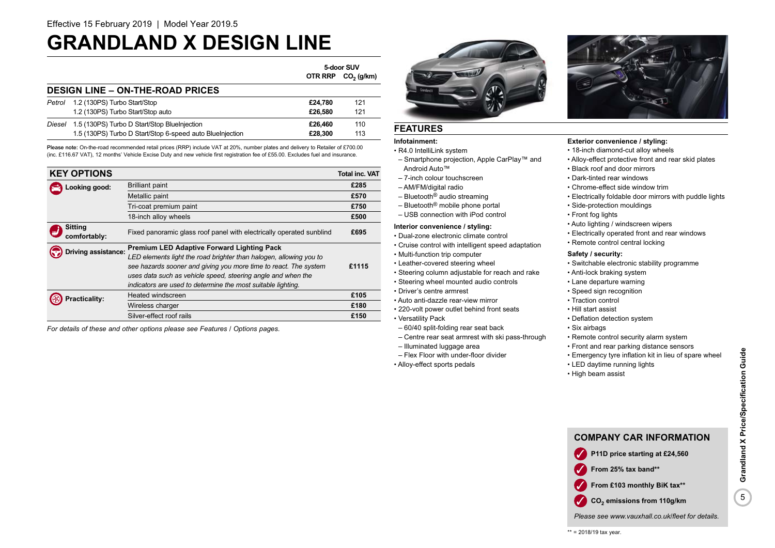### **GRANDLAND X DESIGN LINE**

|        |                                                           | 5-door SUV |              |
|--------|-----------------------------------------------------------|------------|--------------|
|        |                                                           | OTR RRP    | $CO2$ (g/km) |
|        | <b>DESIGN LINE - ON-THE-ROAD PRICES</b>                   |            |              |
| Petrol | 1.2 (130PS) Turbo Start/Stop                              | £24.780    | 121          |
|        | 1.2 (130PS) Turbo Start/Stop auto                         | £26.580    | 121          |
| Diesel | 1.5 (130PS) Turbo D Start/Stop BlueInjection              | £26,460    | 110          |
|        | 1.5 (130PS) Turbo D Start/Stop 6-speed auto BlueInjection | £28,300    | 113          |

Please note: On-the-road recommended retail prices (RRP) include VAT at 20%, number plates and delivery to Retailer of £700.00 (inc. £116.67 VAT), 12 months' Vehicle Excise Duty and new vehicle first registration fee of £55.00. Excludes fuel and insurance.

| <b>KEY OPTIONS</b>             |                                                                                                                                                                                                                                                                                                                             | <b>Total inc. VAT</b> |
|--------------------------------|-----------------------------------------------------------------------------------------------------------------------------------------------------------------------------------------------------------------------------------------------------------------------------------------------------------------------------|-----------------------|
| ooking good:                   | <b>Brilliant paint</b>                                                                                                                                                                                                                                                                                                      | £285                  |
|                                | Metallic paint                                                                                                                                                                                                                                                                                                              | £570                  |
|                                | Tri-coat premium paint                                                                                                                                                                                                                                                                                                      | £750                  |
|                                | 18-inch alloy wheels                                                                                                                                                                                                                                                                                                        | £500                  |
| <b>Sitting</b><br>comfortably: | Fixed panoramic glass roof panel with electrically operated sunblind                                                                                                                                                                                                                                                        | £695                  |
| Oriving assistance:            | <b>Premium LED Adaptive Forward Lighting Pack</b><br>LED elements light the road brighter than halogen, allowing you to<br>see hazards sooner and giving you more time to react. The system<br>uses data such as vehicle speed, steering angle and when the<br>indicators are used to determine the most suitable lighting. | £1115                 |
| racticality:                   | Heated windscreen                                                                                                                                                                                                                                                                                                           | £105                  |
|                                | Wireless charger                                                                                                                                                                                                                                                                                                            | £180                  |
|                                | Silver-effect roof rails                                                                                                                                                                                                                                                                                                    | £150                  |

*For details of these and other options please see Features / Options pages.*

### **FEATURES**

### **Infotainment:**

• R4.0 IntelliLink system

- Smartphone projection, Apple CarPlay™ and Android Auto™
- 7-inch colour touchscreen
- AM/FM/digital radio
- Bluetooth® audio streaming
- Bluetooth® mobile phone portal
- USB connection with iPod control

### **Interior convenience / styling:**

- Dual-zone electronic climate control
- Cruise control with intelligent speed adaptation
- Multi-function trip computer
- Leather-covered steering wheel
- Steering column adjustable for reach and rake
- Steering wheel mounted audio controls
- Driver's centre armrest
- Auto anti-dazzle rear-view mirror
- 220-volt power outlet behind front seats
- Versatility Pack
- 60/40 split-folding rear seat back
- Centre rear seat armrest with ski pass-through
- 
- 



### **Exterior convenience / styling:**

- 18-inch diamond-cut alloy wheels
- Alloy-effect protective front and rear skid plates
- Black roof and door mirrors
- Dark-tinted rear windows
- Chrome-effect side window trim
- Electrically foldable door mirrors with puddle lights
- Side-protection mouldings
- Front fog lights
- Auto lighting / windscreen wipers
- Electrically operated front and rear windows
- Remote control central locking

### **Safety / security:**

- Switchable electronic stability programme
- Anti-lock braking system
- Lane departure warning
- Speed sign recognition
- Traction control
- Hill start assist
- Deflation detection system
- Six airbags
- Remote control security alarm system
- Front and rear parking distance sensors
- Emergency tyre inflation kit in lieu of spare wheel
- LED daytime running lights
- High beam assist



*Please see www.vauxhall.co.uk/fleet for details.*

- 
- 
- 
- Illuminated luggage area
- Flex Floor with under-floor divider
- Alloy-effect sports pedals

✓ **From 25% tax band\*\* From £103 monthly BiK tax\*\* CO<sub>2</sub>** emissions from 110g/km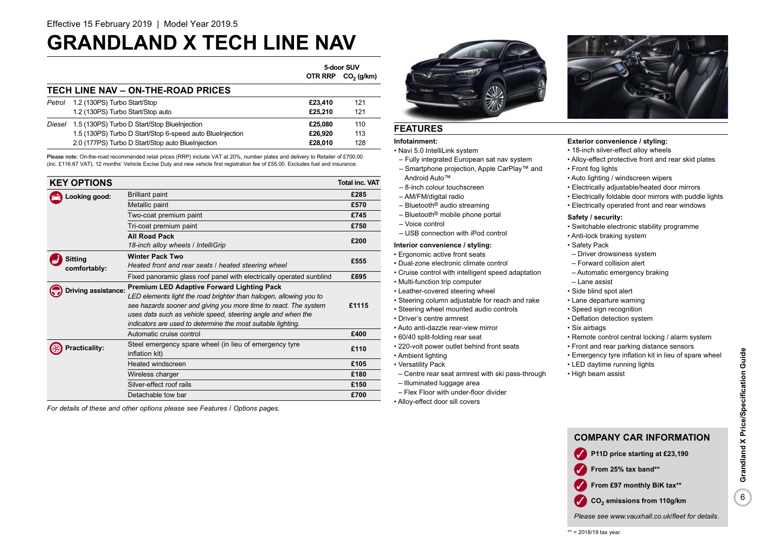### **GRANDLAND X TECH LINE NAV**

|                                    |                                                           | 5-door SUV     |              |
|------------------------------------|-----------------------------------------------------------|----------------|--------------|
|                                    |                                                           | <b>OTR RRP</b> | $CO2$ (g/km) |
| TECH LINE NAV - ON-THE-ROAD PRICES |                                                           |                |              |
| Petrol                             | 1.2 (130PS) Turbo Start/Stop                              | £23,410        | 121          |
|                                    | 1.2 (130PS) Turbo Start/Stop auto                         | £25.210        | 121          |
| Diesel                             | 1.5 (130PS) Turbo D Start/Stop BlueInjection              | £25.080        | 110          |
|                                    | 1.5 (130PS) Turbo D Start/Stop 6-speed auto BlueInjection | £26.920        | 113          |
|                                    | 2.0 (177PS) Turbo D Start/Stop auto BlueInjection         | £28.010        | 128          |

Please note: On-the-road recommended retail prices (RRP) include VAT at 20%, number plates and delivery to Retailer of £700.00 (inc. £116.67 VAT), 12 months' Vehicle Excise Duty and new vehicle first registration fee of £55.00. Excludes fuel and insurance.

|  | <b>KEY OPTIONS</b>   |                                                                          | <b>Total inc. VAT</b> |
|--|----------------------|--------------------------------------------------------------------------|-----------------------|
|  | Looking good:        | <b>Brilliant paint</b>                                                   | £285                  |
|  |                      | Metallic paint                                                           | £570                  |
|  |                      | Two-coat premium paint                                                   | £745                  |
|  |                      | Tri-coat premium paint                                                   | £750                  |
|  |                      | <b>All Road Pack</b>                                                     | £200                  |
|  |                      | 18-inch alloy wheels / IntelliGrip                                       |                       |
|  | <b>Sitting</b>       | <b>Winter Pack Two</b>                                                   | £555                  |
|  | comfortably:         | Heated front and rear seats / heated steering wheel                      |                       |
|  |                      | Fixed panoramic glass roof panel with electrically operated sunblind     | £695                  |
|  | Driving assistance:  | <b>Premium LED Adaptive Forward Lighting Pack</b>                        |                       |
|  |                      | LED elements light the road brighter than halogen, allowing you to       |                       |
|  |                      | see hazards sooner and giving you more time to react. The system         | £1115                 |
|  |                      | uses data such as vehicle speed, steering angle and when the             |                       |
|  |                      | indicators are used to determine the most suitable lighting.             |                       |
|  |                      | Automatic cruise control                                                 | £400                  |
|  | <b>Practicality:</b> | Steel emergency spare wheel (in lieu of emergency tyre<br>inflation kit) | £110                  |
|  |                      | Heated windscreen                                                        | £105                  |
|  |                      | Wireless charger                                                         | £180                  |
|  |                      | Silver-effect roof rails                                                 | £150                  |
|  |                      | Detachable tow bar                                                       | £700                  |

*For details of these and other options please see Features / Options pages.*



### **FEATURES**

### **Infotainment:**

• Navi 5.0 IntelliLink system

- Fully integrated European sat nav system – Smartphone projection, Apple CarPlay™ and
- Android Auto™
- 8-inch colour touchscreen
- AM/FM/digital radio
- Bluetooth® audio streaming
- Bluetooth® mobile phone portal
- Voice control
- USB connection with iPod control

### **Interior convenience / styling:**

• Ergonomic active front seats

- Dual-zone electronic climate control
- Cruise control with intelligent speed adaptation
- Multi-function trip computer
- Leather-covered steering wheel
- Steering column adjustable for reach and rake
- Steering wheel mounted audio controls
- Driver's centre armrest
- Auto anti-dazzle rear-view mirror
- 60/40 split-folding rear seat
- 220-volt power outlet behind front seats
- Ambient lighting
- Versatility Pack
	- Centre rear seat armrest with ski pass-through
	- Illuminated luggage area
	- Flex Floor with under-floor divider
	- Alloy-effect door sill covers



### **Exterior convenience / styling:**

- 18-inch silver-effect alloy wheels
- Alloy-effect protective front and rear skid plates • Front fog lights
- Auto lighting / windscreen wipers
- 
- Electrically adjustable/heated door mirrors
- Electrically foldable door mirrors with puddle lights
- Electrically operated front and rear windows

#### **Safety / security:**

- Switchable electronic stability programme
- Anti-lock braking system
- Safety Pack
- Driver drowsiness system
- Forward collision alert
- Automatic emergency braking
- Lane assist
- Side blind spot alert
- Lane departure warning
- Speed sign recognition
- Deflation detection system
- Six airbags
- Remote control central locking / alarm system
- Front and rear parking distance sensors
- Emergency tyre inflation kit in lieu of spare wheel
- LED daytime running lights
- High beam assist



**CO<sub>2</sub>** emissions from 110g/km

*Please see www.vauxhall.co.uk/fleet for details.*

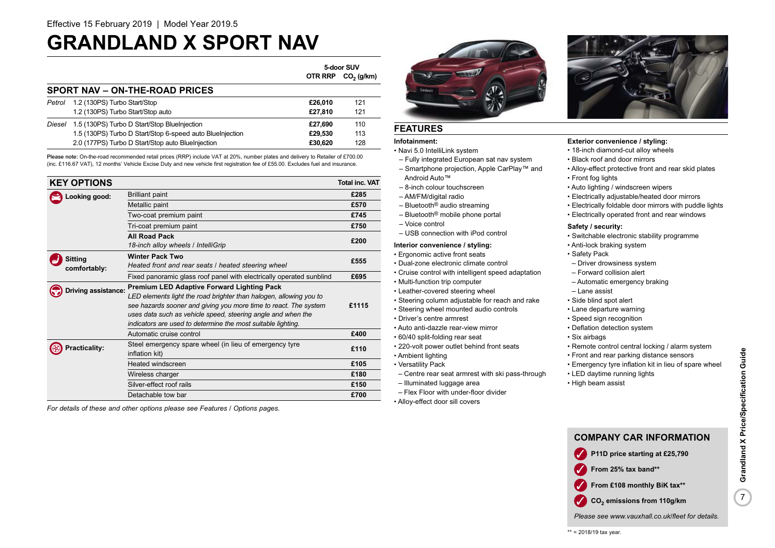### **GRANDLAND X SPORT NAV**

|                                |                                                           | 5-door SUV     |              |
|--------------------------------|-----------------------------------------------------------|----------------|--------------|
|                                |                                                           | <b>OTR RRP</b> | $CO2$ (g/km) |
| SPORT NAV - ON-THE-ROAD PRICES |                                                           |                |              |
| Petrol                         | 1.2 (130PS) Turbo Start/Stop                              | £26.010        | 121          |
|                                | 1.2 (130PS) Turbo Start/Stop auto                         | £27.810        | 121          |
| Diesel                         | 1.5 (130PS) Turbo D Start/Stop BlueInjection              | £27.690        | 110          |
|                                | 1.5 (130PS) Turbo D Start/Stop 6-speed auto BlueInjection | £29.530        | 113          |
|                                | 2.0 (177PS) Turbo D Start/Stop auto BlueInjection         | £30.620        | 128          |

Please note: On-the-road recommended retail prices (RRP) include VAT at 20%, number plates and delivery to Retailer of £700.00 (inc. £116.67 VAT), 12 months' Vehicle Excise Duty and new vehicle first registration fee of £55.00. Excludes fuel and insurance.

|               | <b>KEY OPTIONS</b>   |                                                                      | <b>Total inc. VAT</b> |
|---------------|----------------------|----------------------------------------------------------------------|-----------------------|
| Looking good: |                      | <b>Brilliant paint</b>                                               | £285                  |
|               |                      | Metallic paint                                                       | £570                  |
|               |                      | Two-coat premium paint                                               | £745                  |
|               |                      | Tri-coat premium paint                                               | £750                  |
|               |                      | <b>All Road Pack</b>                                                 | £200                  |
|               |                      | 18-inch alloy wheels / IntelliGrip                                   |                       |
|               | Sitting              | <b>Winter Pack Two</b>                                               | £555                  |
|               | comfortably:         | Heated front and rear seats / heated steering wheel                  |                       |
|               |                      | Fixed panoramic glass roof panel with electrically operated sunblind | £695                  |
|               | Driving assistance:  | <b>Premium LED Adaptive Forward Lighting Pack</b>                    |                       |
|               |                      | LED elements light the road brighter than halogen, allowing you to   |                       |
|               |                      | see hazards sooner and giving you more time to react. The system     | £1115                 |
|               |                      | uses data such as vehicle speed, steering angle and when the         |                       |
|               |                      | indicators are used to determine the most suitable lighting.         |                       |
|               |                      | Automatic cruise control                                             | £400                  |
|               | <b>Practicality:</b> | Steel emergency spare wheel (in lieu of emergency tyre               | £110                  |
|               |                      | inflation kit)                                                       |                       |
|               |                      | Heated windscreen                                                    | £105                  |
|               |                      | Wireless charger                                                     | £180                  |
|               |                      | Silver-effect roof rails                                             | £150                  |
|               |                      | Detachable tow bar                                                   | £700                  |

*For details of these and other options please see Features / Options pages.*



### **FEATURES**

### **Infotainment:**

- Navi 5.0 IntelliLink system
- Fully integrated European sat nav system – Smartphone projection, Apple CarPlay™ and
- Android Auto™
- 8-inch colour touchscreen
- AM/FM/digital radio
- Bluetooth® audio streaming
- Bluetooth® mobile phone portal
- Voice control
- USB connection with iPod control

### **Interior convenience / styling:**

- Ergonomic active front seats
- Dual-zone electronic climate control
- Cruise control with intelligent speed adaptation
- Multi-function trip computer
- Leather-covered steering wheel
- Steering column adjustable for reach and rake
- Steering wheel mounted audio controls
- Driver's centre armrest
- Auto anti-dazzle rear-view mirror
- 60/40 split-folding rear seat
- 220-volt power outlet behind front seats
- Ambient lighting
- Versatility Pack
	- Centre rear seat armrest with ski pass-through
	- Illuminated luggage area
	- Flex Floor with under-floor divider
	- Alloy-effect door sill covers



### **Exterior convenience / styling:**

- 18-inch diamond-cut alloy wheels
- Black roof and door mirrors
- Alloy-effect protective front and rear skid plates
- Front fog lights
- Auto lighting / windscreen wipers
- Electrically adjustable/heated door mirrors
- Electrically foldable door mirrors with puddle lights
- Electrically operated front and rear windows

### **Safety / security:**

- Switchable electronic stability programme
- Anti-lock braking system
- Safety Pack
- Driver drowsiness system
- Forward collision alert
- Automatic emergency braking
- Lane assist
- Side blind spot alert
- Lane departure warning
- Speed sign recognition
- Deflation detection system
- Six airbags
- Remote control central locking / alarm system
- Front and rear parking distance sensors
- Emergency tyre inflation kit in lieu of spare wheel
- LED daytime running lights
- High beam assist

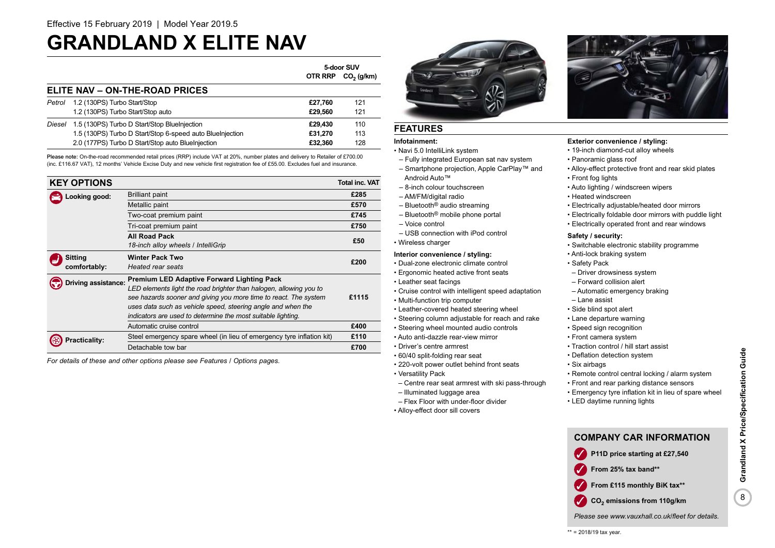### **GRANDLAND X ELITE NAV**

|                                |                                                           | 5-door SUV     |              |
|--------------------------------|-----------------------------------------------------------|----------------|--------------|
|                                |                                                           | <b>OTR RRP</b> | $CO2$ (g/km) |
| ELITE NAV - ON-THE-ROAD PRICES |                                                           |                |              |
| Petrol                         | 1.2 (130PS) Turbo Start/Stop                              | £27.760        | 121          |
|                                | 1.2 (130PS) Turbo Start/Stop auto                         | £29.560        | 121          |
| Diesel                         | 1.5 (130PS) Turbo D Start/Stop BlueInjection              | £29.430        | 110          |
|                                | 1.5 (130PS) Turbo D Start/Stop 6-speed auto Bluelnjection | £31.270        | 113          |
|                                | 2.0 (177PS) Turbo D Start/Stop auto BlueInjection         | £32.360        | 128          |

Please note: On-the-road recommended retail prices (RRP) include VAT at 20%, number plates and delivery to Retailer of £700.00 (inc. £116.67 VAT), 12 months' Vehicle Excise Duty and new vehicle first registration fee of £55.00. Excludes fuel and insurance.

| <b>KEY OPTIONS</b>  |                                                                       | <b>Total inc. VAT</b> |
|---------------------|-----------------------------------------------------------------------|-----------------------|
| Looking good:       | <b>Brilliant paint</b>                                                | £285                  |
|                     | Metallic paint                                                        | £570                  |
|                     | Two-coat premium paint                                                | £745                  |
|                     | Tri-coat premium paint                                                | £750                  |
|                     | <b>All Road Pack</b>                                                  | £50                   |
|                     | 18-inch alloy wheels / IntelliGrip                                    |                       |
| Sitting             | <b>Winter Pack Two</b>                                                | £200                  |
| comfortably:        | Heated rear seats                                                     |                       |
| Driving assistance: | <b>Premium LED Adaptive Forward Lighting Pack</b>                     |                       |
|                     | LED elements light the road brighter than halogen, allowing you to    |                       |
|                     | see hazards sooner and giving you more time to react. The system      | £1115                 |
|                     | uses data such as vehicle speed, steering angle and when the          |                       |
|                     | indicators are used to determine the most suitable lighting.          |                       |
|                     | Automatic cruise control                                              | £400                  |
| Practicality:       | Steel emergency spare wheel (in lieu of emergency tyre inflation kit) | £110                  |
|                     | Detachable tow bar                                                    | £700                  |

*For details of these and other options please see Features / Options pages.*

### **FEATURES**

### **Infotainment:**

- Navi 5.0 IntelliLink system
- Fully integrated European sat nav system – Smartphone projection, Apple CarPlay™ and
- Android Auto™
- 8-inch colour touchscreen
- AM/FM/digital radio
- Bluetooth® audio streaming
- Bluetooth® mobile phone portal
- Voice control
- USB connection with iPod control
- 

- Dual-zone electronic climate control
- Ergonomic heated active front seats
- Leather seat facings
- Cruise control with intelligent speed adaptation
- Multi-function trip computer
- Leather-covered heated steering wheel
- Steering column adjustable for reach and rake
- Steering wheel mounted audio controls
- Auto anti-dazzle rear-view mirror
- Driver's centre armrest
- 60/40 split-folding rear seat
- 220-volt power outlet behind front seats
- Versatility Pack
- Centre rear seat armrest with ski pass-through
- Illuminated luggage area
- Flex Floor with under-floor divider
- Alloy-effect door sill covers



### **Exterior convenience / styling:**

- 19-inch diamond-cut alloy wheels
- Panoramic glass roof
- Alloy-effect protective front and rear skid plates
- Front fog lights
- Auto lighting / windscreen wipers
- Heated windscreen
- Electrically adjustable/heated door mirrors
- Electrically foldable door mirrors with puddle light
- Electrically operated front and rear windows

### **Safety / security:**

- Switchable electronic stability programme
- Anti-lock braking system
- Safety Pack
	- Driver drowsiness system
	- Forward collision alert
	- Automatic emergency braking
	- Lane assist
	- Side blind spot alert
- Lane departure warning
- Speed sign recognition
- Front camera system
- Traction control / hill start assist
- Deflation detection system
- Six airbags
- Remote control central locking / alarm system
- Front and rear parking distance sensors
- Emergency tyre inflation kit in lieu of spare wheel
- LED daytime running lights



*Please see www.vauxhall.co.uk/fleet for details.*

- 
- 
- 
- 

### • Wireless charger

### **Interior convenience / styling:**

- -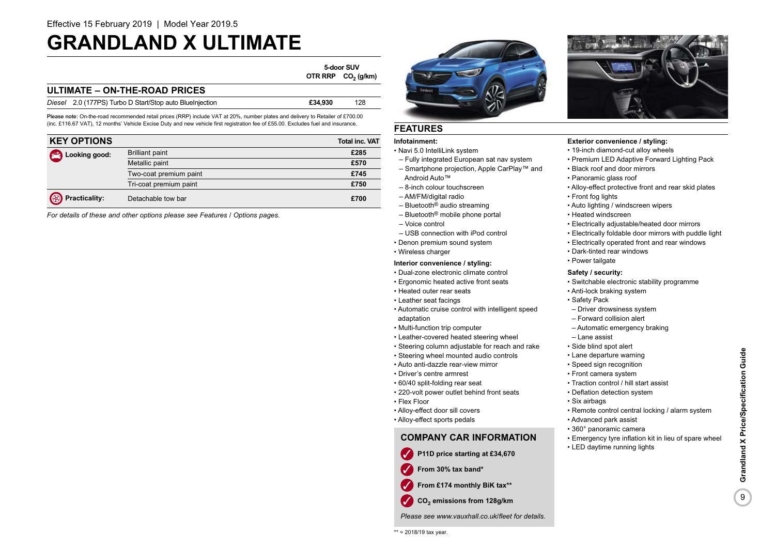### **GRANDLAND X ULTIMATE**

**5-door SUV OTR RRP CO<sub>2</sub>** (g/km)

### **ULTIMATE – ON-THE-ROAD PRICES**

| Diesel 2.0 (177PS) Turbo D Start/Stop auto BlueInjection | £34.930 | 128 |
|----------------------------------------------------------|---------|-----|
|                                                          |         |     |

Please note: On-the-road recommended retail prices (RRP) include VAT at 20%, number plates and delivery to Retailer of £700.00 (inc. £116.67 VAT), 12 months' Vehicle Excise Duty and new vehicle first registration fee of £55.00. Excludes fuel and insurance.

| <b>KEY OPTIONS</b>     |                        | <b>Total inc. VAT</b> |
|------------------------|------------------------|-----------------------|
| Looking good:          | <b>Brilliant paint</b> | £285                  |
|                        | Metallic paint         | £570                  |
|                        | Two-coat premium paint | £745                  |
|                        | Tri-coat premium paint | £750                  |
| <b>B</b> Practicality: | Detachable tow bar     | £700                  |

*For details of these and other options please see Features / Options pages.*



### **FEATURES**

### **Infotainment:**

- Navi 5.0 IntelliLink system
- Fully integrated European sat nav system – Smartphone projection, Apple CarPlay™ and
- Android Auto™ – 8-inch colour touchscreen
- AM/FM/digital radio
- Bluetooth® audio streaming
- Bluetooth® mobile phone portal
- Voice control
- USB connection with iPod control
- Denon premium sound system
- Wireless charger

### **Interior convenience / styling:**

- Dual-zone electronic climate control
- Ergonomic heated active front seats
- Heated outer rear seats
- Leather seat facings
- Automatic cruise control with intelligent speed adaptation
- Multi-function trip computer
- Leather-covered heated steering wheel
- Steering column adjustable for reach and rake
- Steering wheel mounted audio controls
- Auto anti-dazzle rear-view mirror
- Driver's centre armrest
- 60/40 split-folding rear seat
- 220-volt power outlet behind front seats
- Flex Floor
- Alloy-effect door sill covers
- Alloy-effect sports pedals

### **COMPANY CAR INFORMATION**

- ✓ **P11D price starting at £34,670**
- ✓ **From 30% tax band\***
- From £174 monthly BiK tax\*\*
- **CO2** ✓ **emissions from 128g/km**

*Please see www.vauxhall.co.uk/fleet for details.*





### **Exterior convenience / styling:**

- 19-inch diamond-cut alloy wheels
- Premium LED Adaptive Forward Lighting Pack
- Black roof and door mirrors
- Panoramic glass roof
- Alloy-effect protective front and rear skid plates
- Front fog lights
- Auto lighting / windscreen wipers
- Heated windscreen
- Electrically adjustable/heated door mirrors
- Electrically foldable door mirrors with puddle light
- Electrically operated front and rear windows
- Dark-tinted rear windows
- Power tailgate

### **Safety / security:**

- Switchable electronic stability programme
- Anti-lock braking system
- Safety Pack
- Driver drowsiness system
- Forward collision alert
- Automatic emergency braking
- Lane assist
- Side blind spot alert
- Lane departure warning
- Speed sign recognition
- Front camera system
- Traction control / hill start assist
- Deflation detection system
- Six airbags
- Remote control central locking / alarm system
- Advanced park assist
- 360° panoramic camera

• LED daytime running lights

- Emergency tyre inflation kit in lieu of spare wheel
- Grandland X Price/Specification Guide 9**Grandland X Price/Specification Guide** 9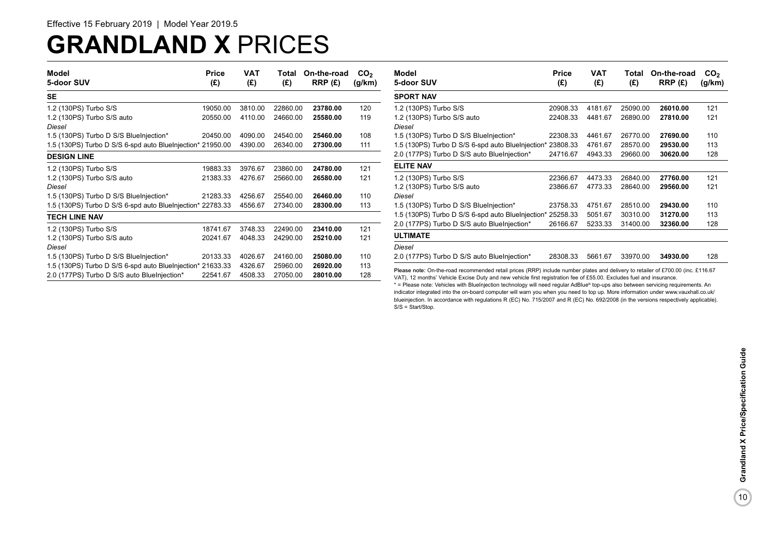## **GRANDLAND X** PRICES

| Model<br>5-door SUV                                        | <b>Price</b><br>(£) | <b>VAT</b><br>(E) | Total<br>(£) | On-the-road<br>RRP(E) | CO <sub>2</sub><br>(g/km) |
|------------------------------------------------------------|---------------------|-------------------|--------------|-----------------------|---------------------------|
| SE                                                         |                     |                   |              |                       |                           |
| 1.2 (130PS) Turbo S/S                                      | 19050.00            | 3810.00           | 22860.00     | 23780.00              | 120                       |
| 1.2 (130PS) Turbo S/S auto                                 | 20550.00            | 4110.00           | 24660.00     | 25580.00              | 119                       |
| Diesel                                                     |                     |                   |              |                       |                           |
| 1.5 (130PS) Turbo D S/S BlueInjection*                     | 20450.00            | 4090.00           | 24540.00     | 25460.00              | 108                       |
| 1.5 (130PS) Turbo D S/S 6-spd auto BlueInjection* 21950.00 |                     | 4390.00           | 26340.00     | 27300.00              | 111                       |
| <b>DESIGN LINE</b>                                         |                     |                   |              |                       |                           |
| 1.2 (130PS) Turbo S/S                                      | 19883.33            | 3976.67           | 23860.00     | 24780.00              | 121                       |
| 1.2 (130PS) Turbo S/S auto                                 | 21383.33            | 4276.67           | 25660.00     | 26580.00              | 121                       |
| Diesel                                                     |                     |                   |              |                       |                           |
| 1.5 (130PS) Turbo D S/S BlueInjection*                     | 21283.33            | 4256.67           | 25540.00     | 26460.00              | 110                       |
| 1.5 (130PS) Turbo D S/S 6-spd auto BlueInjection* 22783.33 |                     | 4556.67           | 27340.00     | 28300.00              | 113                       |
| <b>TECH LINE NAV</b>                                       |                     |                   |              |                       |                           |
| 1.2 (130PS) Turbo S/S                                      | 18741.67            | 3748.33           | 22490.00     | 23410.00              | 121                       |
| 1.2 (130PS) Turbo S/S auto                                 | 20241.67            | 4048.33           | 24290.00     | 25210.00              | 121                       |
| Diesel                                                     |                     |                   |              |                       |                           |
| 1.5 (130PS) Turbo D S/S BlueInjection*                     | 20133.33            | 4026.67           | 24160.00     | 25080.00              | 110                       |
| 1.5 (130PS) Turbo D S/S 6-spd auto BlueInjection* 21633.33 |                     | 4326.67           | 25960.00     | 26920.00              | 113                       |
| 2.0 (177PS) Turbo D S/S auto BlueInjection*                | 22541.67            | 4508.33           | 27050.00     | 28010.00              | 128                       |

| Model<br>5-door SUV                                        | Price<br>(£) | VAT<br>(£) | Total<br>(£) | On-the-road<br>RRP(E) | CO <sub>2</sub><br>(g/km) |
|------------------------------------------------------------|--------------|------------|--------------|-----------------------|---------------------------|
| <b>SPORT NAV</b>                                           |              |            |              |                       |                           |
| 1.2 (130PS) Turbo S/S                                      | 20908.33     | 4181.67    | 25090.00     | 26010.00              | 121                       |
| 1.2 (130PS) Turbo S/S auto                                 | 22408.33     | 4481.67    | 26890.00     | 27810.00              | 121                       |
| Diesel                                                     |              |            |              |                       |                           |
| 1.5 (130PS) Turbo D S/S BlueInjection*                     | 22308.33     | 4461.67    | 26770.00     | 27690.00              | 110                       |
| 1.5 (130PS) Turbo D S/S 6-spd auto BlueInjection* 23808.33 |              | 4761.67    | 28570.00     | 29530.00              | 113                       |
| 2.0 (177PS) Turbo D S/S auto BlueInjection*                | 24716.67     | 4943.33    | 29660.00     | 30620.00              | 128                       |
| <b>ELITE NAV</b>                                           |              |            |              |                       |                           |
| 1.2 (130PS) Turbo S/S                                      | 22366.67     | 4473.33    | 26840.00     | 27760.00              | 121                       |
| 1.2 (130PS) Turbo S/S auto                                 | 23866.67     | 4773.33    | 28640.00     | 29560.00              | 121                       |
| Diesel                                                     |              |            |              |                       |                           |
| 1.5 (130PS) Turbo D S/S BlueInjection*                     | 23758.33     | 4751.67    | 28510.00     | 29430.00              | 110                       |
| 1.5 (130PS) Turbo D S/S 6-spd auto BlueInjection* 25258.33 |              | 5051.67    | 30310.00     | 31270.00              | 113                       |
| 2.0 (177PS) Turbo D S/S auto BlueInjection*                | 26166.67     | 5233.33    | 31400.00     | 32360.00              | 128                       |
| <b>ULTIMATE</b>                                            |              |            |              |                       |                           |
| Diesel                                                     |              |            |              |                       |                           |
| 2.0 (177PS) Turbo D S/S auto BlueInjection*                | 28308.33     | 5661.67    | 33970.00     | 34930.00              | 128                       |

\* = Please note: Vehicles with BlueInjection technology will need regular AdBlue® top-ups also between servicing requirements. An indicator integrated into the on-board computer will warn you when you need to top up. More information under www.vauxhall.co.uk/ blueinjection. In accordance with regulations R (EC) No. 715/2007 and R (EC) No. 692/2008 (in the versions respectively applicable). S/S = Start/Stop.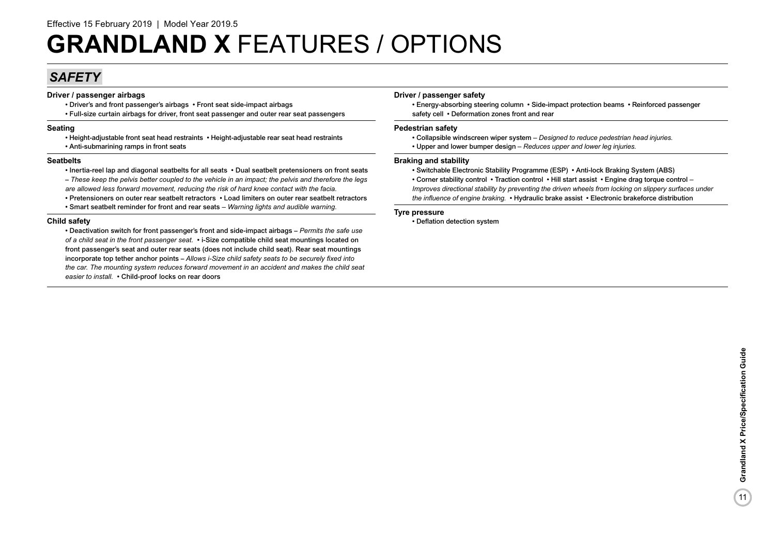### *SAFETY*

### **Driver / passenger airbags**

- Driver's and front passenger's airbags Front seat side-impact airbags
- Full-size curtain airbags for driver, front seat passenger and outer rear seat passengers

### **Seating**

- Height-adjustable front seat head restraints Height-adjustable rear seat head restraints
- Anti-submarining ramps in front seats

### **Seatbelts**

- Inertia-reel lap and diagonal seatbelts for all seats Dual seatbelt pretensioners on front seats
- *These keep the pelvis better coupled to the vehicle in an impact; the pelvis and therefore the legs are allowed less forward movement, reducing the risk of hard knee contact with the facia.*
- Pretensioners on outer rear seatbelt retractors Load limiters on outer rear seatbelt retractors • Smart seatbelt reminder for front and rear seats *– Warning lights and audible warning.*

### **Child safety**

• Deactivation switch for front passenger's front and side-impact airbags – *Permits the safe use of a child seat in the front passenger seat.* • i-Size compatible child seat mountings located on front passenger's seat and outer rear seats (does not include child seat). Rear seat mountings incorporate top tether anchor points – *Allows i-Size child safety seats to be securely fixed into the car. The mounting system reduces forward movement in an accident and makes the child seat easier to install.* • Child-proof locks on rear doors

### **Driver / passenger safety**

• Energy-absorbing steering column • Side-impact protection beams • Reinforced passenger safety cell • Deformation zones front and rear

### **Pedestrian safety**

- Collapsible windscreen wiper system – *Designed to reduce pedestrian head injuries.*
- Upper and lower bumper design – *Reduces upper and lower leg injuries.*

### **Braking and stability**

- Switchable Electronic Stability Programme (ESP) Anti-lock Braking System (ABS)
- Corner stability control Traction control Hill start assist Engine drag torque control  *Improves directional stability by preventing the driven wheels from locking on slippery surfaces under*
- *the influence of engine braking.* Hydraulic brake assist Electronic brakeforce distribution

### **Tyre pressure**

• Deflation detection system

 $(11)$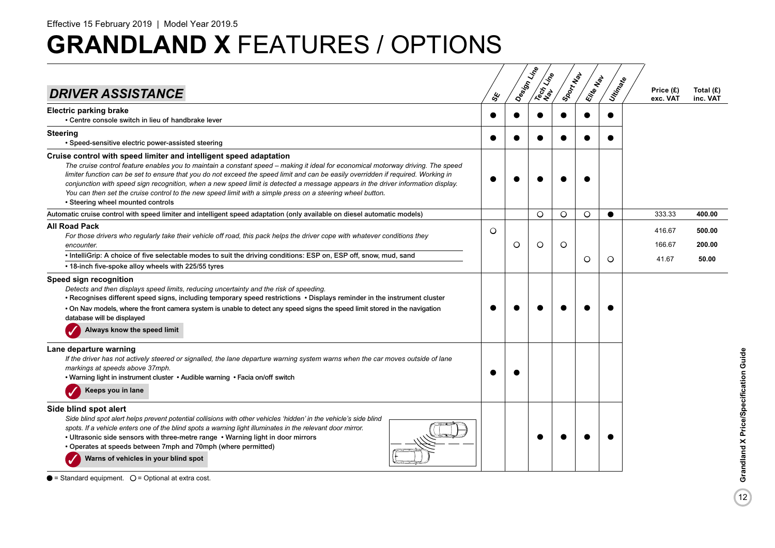|                                                                                                                                                                                                                                                                                                                                                                                                                                                                                                                                                                                                                                    |         |   | Design Line<br>Tech Line | ISDONT NON | Ellie Map | Utin <sub>Ratio</sub> |                       |                       |
|------------------------------------------------------------------------------------------------------------------------------------------------------------------------------------------------------------------------------------------------------------------------------------------------------------------------------------------------------------------------------------------------------------------------------------------------------------------------------------------------------------------------------------------------------------------------------------------------------------------------------------|---------|---|--------------------------|------------|-----------|-----------------------|-----------------------|-----------------------|
| <b>DRIVER ASSISTANCE</b>                                                                                                                                                                                                                                                                                                                                                                                                                                                                                                                                                                                                           | ధ్య     |   |                          |            |           |                       | Price (£)<br>exc. VAT | Total (£)<br>inc. VAT |
| <b>Electric parking brake</b><br>• Centre console switch in lieu of handbrake lever                                                                                                                                                                                                                                                                                                                                                                                                                                                                                                                                                |         |   |                          |            |           |                       |                       |                       |
| <b>Steering</b><br>• Speed-sensitive electric power-assisted steering                                                                                                                                                                                                                                                                                                                                                                                                                                                                                                                                                              |         |   |                          |            |           |                       |                       |                       |
| Cruise control with speed limiter and intelligent speed adaptation<br>The cruise control feature enables you to maintain a constant speed - making it ideal for economical motorway driving. The speed<br>limiter function can be set to ensure that you do not exceed the speed limit and can be easily overridden if required. Working in<br>conjunction with speed sign recognition, when a new speed limit is detected a message appears in the driver information display.<br>You can then set the cruise control to the new speed limit with a simple press on a steering wheel button.<br>• Steering wheel mounted controls |         |   |                          |            |           |                       |                       |                       |
| Automatic cruise control with speed limiter and intelligent speed adaptation (only available on diesel automatic models)                                                                                                                                                                                                                                                                                                                                                                                                                                                                                                           |         |   | $\circ$                  | O          | O         |                       | 333.33                | 400.00                |
| <b>All Road Pack</b><br>For those drivers who regularly take their vehicle off road, this pack helps the driver cope with whatever conditions they<br>encounter.                                                                                                                                                                                                                                                                                                                                                                                                                                                                   | $\circ$ | Ο | O                        | $\circ$    |           |                       | 416.67<br>166.67      | 500.00<br>200.00      |
| • IntelliGrip: A choice of five selectable modes to suit the driving conditions: ESP on, ESP off, snow, mud, sand<br>• 18-inch five-spoke alloy wheels with 225/55 tyres                                                                                                                                                                                                                                                                                                                                                                                                                                                           |         |   |                          |            | $\circ$   | $\circ$               | 41.67                 | 50.00                 |
| Speed sign recognition<br>Detects and then displays speed limits, reducing uncertainty and the risk of speeding.<br>• Recognises different speed signs, including temporary speed restrictions • Displays reminder in the instrument cluster<br>• On Nav models, where the front camera system is unable to detect any speed signs the speed limit stored in the navigation<br>database will be displayed<br>Always know the speed limit                                                                                                                                                                                           |         |   |                          |            |           |                       |                       |                       |
| Lane departure warning<br>If the driver has not actively steered or signalled, the lane departure warning system warns when the car moves outside of lane<br>markings at speeds above 37mph.<br>. Warning light in instrument cluster . Audible warning . Facia on/off switch<br>Keeps you in lane                                                                                                                                                                                                                                                                                                                                 |         |   |                          |            |           |                       |                       |                       |
| Side blind spot alert<br>Side blind spot alert helps prevent potential collisions with other vehicles 'hidden' in the vehicle's side blind<br>spots. If a vehicle enters one of the blind spots a warning light illuminates in the relevant door mirror.<br>• Ultrasonic side sensors with three-metre range • Warning light in door mirrors<br>• Operates at speeds between 7mph and 70mph (where permitted)<br>Warns of vehicles in your blind spot                                                                                                                                                                              |         |   |                          |            |           |                       |                       |                       |

 $\bullet$  = Standard equipment.  $\circ$  = Optional at extra cost.

 $\boxed{12}$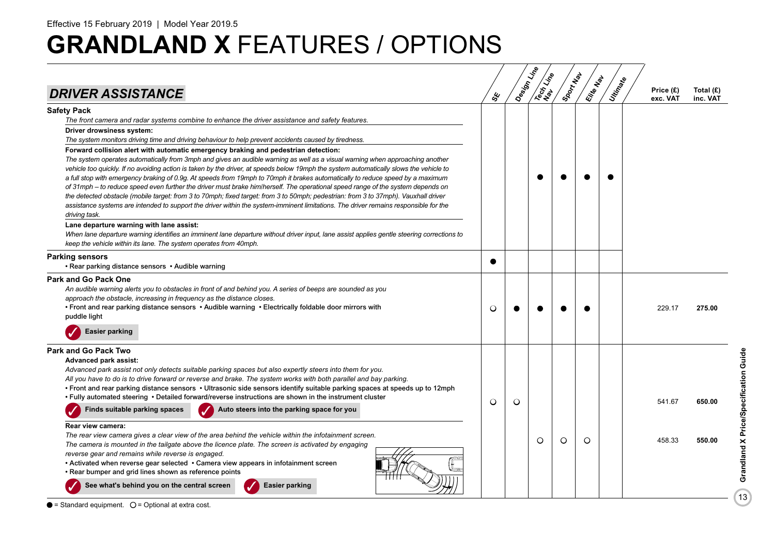| <b>DRIVER ASSISTANCE</b>                                                                                                                                                                                                                                                                                                                                                                                                                                                                                                                                                                                                                                                                                                                                                                                                                                                                                                           | ఊ         |   | Design Little<br>Tech Line | Sport Map | Elite Map | Utin Rate | Price (£)<br>exc. VAT | Total (£)<br>inc. VAT |
|------------------------------------------------------------------------------------------------------------------------------------------------------------------------------------------------------------------------------------------------------------------------------------------------------------------------------------------------------------------------------------------------------------------------------------------------------------------------------------------------------------------------------------------------------------------------------------------------------------------------------------------------------------------------------------------------------------------------------------------------------------------------------------------------------------------------------------------------------------------------------------------------------------------------------------|-----------|---|----------------------------|-----------|-----------|-----------|-----------------------|-----------------------|
| <b>Safety Pack</b><br>The front camera and radar systems combine to enhance the driver assistance and safety features.<br>Driver drowsiness system:                                                                                                                                                                                                                                                                                                                                                                                                                                                                                                                                                                                                                                                                                                                                                                                |           |   |                            |           |           |           |                       |                       |
| The system monitors driving time and driving behaviour to help prevent accidents caused by tiredness.                                                                                                                                                                                                                                                                                                                                                                                                                                                                                                                                                                                                                                                                                                                                                                                                                              |           |   |                            |           |           |           |                       |                       |
| Forward collision alert with automatic emergency braking and pedestrian detection:<br>The system operates automatically from 3mph and gives an audible warning as well as a visual warning when approaching another<br>vehicle too quickly. If no avoiding action is taken by the driver, at speeds below 19mph the system automatically slows the vehicle to<br>a full stop with emergency braking of 0.9g. At speeds from 19mph to 70mph it brakes automatically to reduce speed by a maximum<br>of 31mph – to reduce speed even further the driver must brake him/herself. The operational speed range of the system depends on<br>the detected obstacle (mobile target: from 3 to 70mph; fixed target: from 3 to 50mph; pedestrian: from 3 to 37mph). Vauxhall driver<br>assistance systems are intended to support the driver within the system-imminent limitations. The driver remains responsible for the<br>driving task. |           |   |                            |           |           |           |                       |                       |
| Lane departure warning with lane assist:<br>When lane departure warning identifies an imminent lane departure without driver input, lane assist applies gentle steering corrections to<br>keep the vehicle within its lane. The system operates from 40mph.                                                                                                                                                                                                                                                                                                                                                                                                                                                                                                                                                                                                                                                                        |           |   |                            |           |           |           |                       |                       |
| <b>Parking sensors</b><br>• Rear parking distance sensors • Audible warning                                                                                                                                                                                                                                                                                                                                                                                                                                                                                                                                                                                                                                                                                                                                                                                                                                                        | $\bullet$ |   |                            |           |           |           |                       |                       |
| <b>Park and Go Pack One</b><br>An audible warning alerts you to obstacles in front of and behind you. A series of beeps are sounded as you<br>approach the obstacle, increasing in frequency as the distance closes.<br>• Front and rear parking distance sensors • Audible warning • Electrically foldable door mirrors with<br>puddle light                                                                                                                                                                                                                                                                                                                                                                                                                                                                                                                                                                                      | O         |   |                            |           |           |           | 229.17                | 275.00                |
| <b>Easier parking</b>                                                                                                                                                                                                                                                                                                                                                                                                                                                                                                                                                                                                                                                                                                                                                                                                                                                                                                              |           |   |                            |           |           |           |                       |                       |
| <b>Park and Go Pack Two</b><br><b>Advanced park assist:</b><br>Advanced park assist not only detects suitable parking spaces but also expertly steers into them for you.<br>All you have to do is to drive forward or reverse and brake. The system works with both parallel and bay parking.<br>• Front and rear parking distance sensors • Ultrasonic side sensors identify suitable parking spaces at speeds up to 12mph<br>. Fully automated steering . Detailed forward/reverse instructions are shown in the instrument cluster                                                                                                                                                                                                                                                                                                                                                                                              | $\circ$   | O |                            |           |           |           | 541.67                | 650.00                |
| Finds suitable parking spaces<br>Auto steers into the parking space for you                                                                                                                                                                                                                                                                                                                                                                                                                                                                                                                                                                                                                                                                                                                                                                                                                                                        |           |   |                            |           |           |           |                       |                       |
| Rear view camera:<br>The rear view camera gives a clear view of the area behind the vehicle within the infotainment screen.<br>The camera is mounted in the tailgate above the licence plate. The screen is activated by engaging<br>reverse gear and remains while reverse is engaged.<br>• Activated when reverse gear selected • Camera view appears in infotainment screen<br>• Rear bumper and grid lines shown as reference points                                                                                                                                                                                                                                                                                                                                                                                                                                                                                           |           |   | O                          | O         | $\circ$   |           | 458.33                | 550.00                |
| See what's behind you on the central screen<br><b>Easier parking</b>                                                                                                                                                                                                                                                                                                                                                                                                                                                                                                                                                                                                                                                                                                                                                                                                                                                               |           |   |                            |           |           |           |                       |                       |

 $\bullet$  = Standard equipment.  $\circ$  = Optional at extra cost.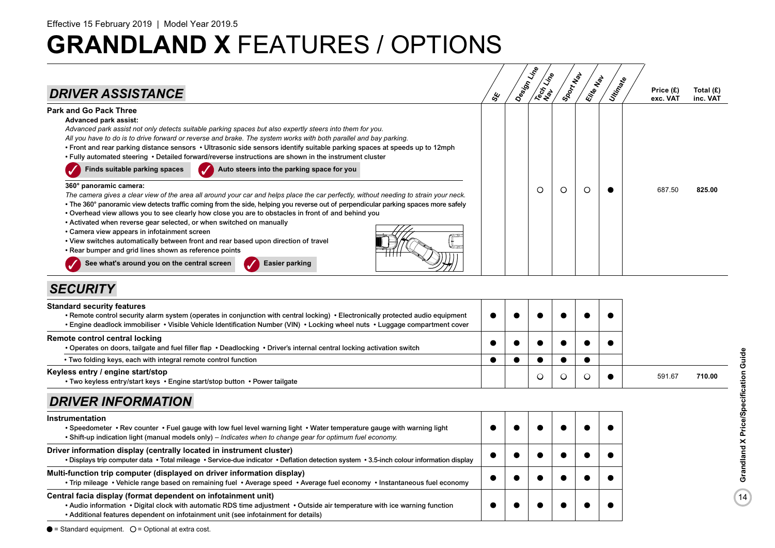

### *SECURITY*

| <b>Standard security features</b><br>• Remote control security alarm system (operates in conjunction with central locking) • Electronically protected audio equipment<br>. Engine deadlock immobiliser • Visible Vehicle Identification Number (VIN) • Locking wheel nuts • Luggage compartment cover |  |  |  |        |        |
|-------------------------------------------------------------------------------------------------------------------------------------------------------------------------------------------------------------------------------------------------------------------------------------------------------|--|--|--|--------|--------|
| Remote control central locking<br>• Operates on doors, tailgate and fuel filler flap • Deadlocking • Driver's internal central locking activation switch                                                                                                                                              |  |  |  |        |        |
| • Two folding keys, each with integral remote control function                                                                                                                                                                                                                                        |  |  |  |        |        |
| Keyless entry / engine start/stop<br>• Two keyless entry/start keys • Engine start/stop button • Power tailgate                                                                                                                                                                                       |  |  |  | 591.67 | 710.00 |

### *DRIVER INFORMATION*

| Instrumentation<br>• Speedometer • Rev counter • Fuel gauge with low fuel level warning light • Water temperature gauge with warning light<br>. Shift-up indication light (manual models only) – Indicates when to change gear for optimum fuel economy.                           |  |  |  |
|------------------------------------------------------------------------------------------------------------------------------------------------------------------------------------------------------------------------------------------------------------------------------------|--|--|--|
| Driver information display (centrally located in instrument cluster)<br>• Displays trip computer data • Total mileage • Service-due indicator • Deflation detection system • 3.5-inch colour information display                                                                   |  |  |  |
| Multi-function trip computer (displayed on driver information display)<br>• Trip mileage • Vehicle range based on remaining fuel • Average speed • Average fuel economy • Instantaneous fuel economy                                                                               |  |  |  |
| Central facia display (format dependent on infotainment unit)<br>• Audio information • Digital clock with automatic RDS time adjustment • Outside air temperature with ice warning function<br>• Additional features dependent on infotainment unit (see infotainment for details) |  |  |  |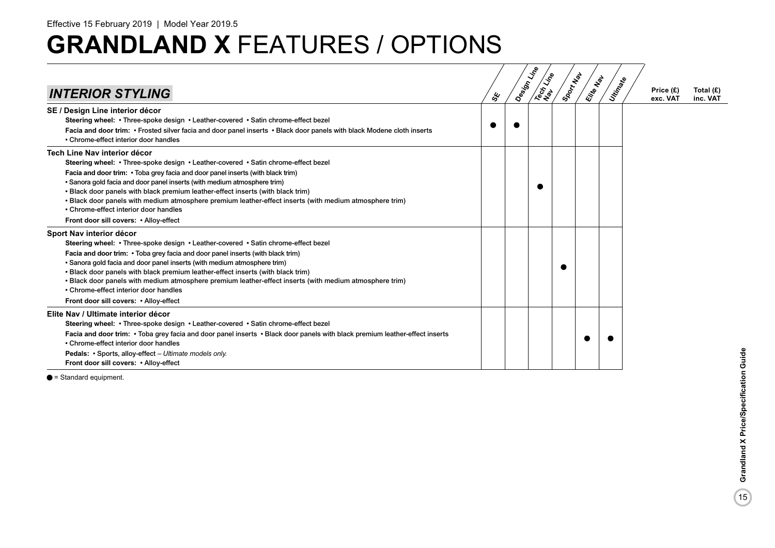| <b>INTERIOR STYLING</b>                                                                                                                                                                                                                                                                                                                                                                                                                                                                                                                                                   | ధ్య | Design Line | Tech Line | Sport New | Elite Nav | Utingele | Price (£)<br>exc. VAT | Total $(E)$<br>inc. VAT |
|---------------------------------------------------------------------------------------------------------------------------------------------------------------------------------------------------------------------------------------------------------------------------------------------------------------------------------------------------------------------------------------------------------------------------------------------------------------------------------------------------------------------------------------------------------------------------|-----|-------------|-----------|-----------|-----------|----------|-----------------------|-------------------------|
| SE / Design Line interior décor                                                                                                                                                                                                                                                                                                                                                                                                                                                                                                                                           |     |             |           |           |           |          |                       |                         |
| Steering wheel: • Three-spoke design • Leather-covered • Satin chrome-effect bezel<br>Facia and door trim: • Frosted silver facia and door panel inserts • Black door panels with black Modene cloth inserts<br>• Chrome-effect interior door handles                                                                                                                                                                                                                                                                                                                     |     |             |           |           |           |          |                       |                         |
| <b>Tech Line Nav interior décor</b><br>Steering wheel: • Three-spoke design • Leather-covered • Satin chrome-effect bezel<br>Facia and door trim: • Toba grey facia and door panel inserts (with black trim)<br>• Sanora gold facia and door panel inserts (with medium atmosphere trim)<br>. Black door panels with black premium leather-effect inserts (with black trim)<br>. Black door panels with medium atmosphere premium leather-effect inserts (with medium atmosphere trim)<br>• Chrome-effect interior door handles<br>Front door sill covers: • Alloy-effect |     |             |           |           |           |          |                       |                         |
| Sport Nav interior décor<br>Steering wheel: • Three-spoke design • Leather-covered • Satin chrome-effect bezel<br>Facia and door trim: • Toba grey facia and door panel inserts (with black trim)<br>• Sanora gold facia and door panel inserts (with medium atmosphere trim)<br>. Black door panels with black premium leather-effect inserts (with black trim)<br>. Black door panels with medium atmosphere premium leather-effect inserts (with medium atmosphere trim)<br>• Chrome-effect interior door handles<br>Front door sill covers: • Alloy-effect            |     |             |           |           |           |          |                       |                         |
| Elite Nav / Ultimate interior décor<br>Steering wheel: • Three-spoke design • Leather-covered • Satin chrome-effect bezel<br>Facia and door trim: • Toba grey facia and door panel inserts • Black door panels with black premium leather-effect inserts<br>• Chrome-effect interior door handles<br>Pedals: • Sports, alloy-effect - Ultimate models only.<br>Front door sill covers: • Alloy-effect                                                                                                                                                                     |     |             |           |           |           |          |                       |                         |

 $\bullet$  = Standard equipment.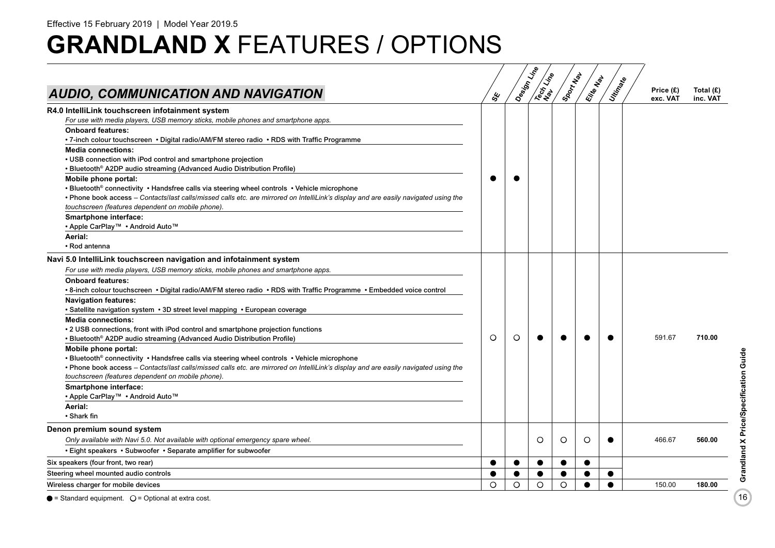| AUDIO, COMMUNICATION AND NAVIGATION                                                                                                                                                                                                                                                                                                                                                                                                                                                                                                                                                                                                                                                                                                                                                                                                                                                                                                                                                                                  | ధ్య      | Design Line | <b>Recitation</b> | Sport Map | Elite Map | Utin Rate | Price (£)<br>exc. VAT | Total $(E)$<br>inc. VAT |
|----------------------------------------------------------------------------------------------------------------------------------------------------------------------------------------------------------------------------------------------------------------------------------------------------------------------------------------------------------------------------------------------------------------------------------------------------------------------------------------------------------------------------------------------------------------------------------------------------------------------------------------------------------------------------------------------------------------------------------------------------------------------------------------------------------------------------------------------------------------------------------------------------------------------------------------------------------------------------------------------------------------------|----------|-------------|-------------------|-----------|-----------|-----------|-----------------------|-------------------------|
| R4.0 IntelliLink touchscreen infotainment system<br>For use with media players, USB memory sticks, mobile phones and smartphone apps.<br><b>Onboard features:</b>                                                                                                                                                                                                                                                                                                                                                                                                                                                                                                                                                                                                                                                                                                                                                                                                                                                    |          |             |                   |           |           |           |                       |                         |
| • 7-inch colour touchscreen • Digital radio/AM/FM stereo radio • RDS with Traffic Programme<br><b>Media connections:</b><br>• USB connection with iPod control and smartphone projection<br>• Bluetooth <sup>®</sup> A2DP audio streaming (Advanced Audio Distribution Profile)                                                                                                                                                                                                                                                                                                                                                                                                                                                                                                                                                                                                                                                                                                                                      |          |             |                   |           |           |           |                       |                         |
| Mobile phone portal:<br>• Bluetooth® connectivity • Handsfree calls via steering wheel controls • Vehicle microphone<br>• Phone book access – Contacts/last calls/missed calls etc. are mirrored on IntelliLink's display and are easily navigated using the<br>touchscreen (features dependent on mobile phone).                                                                                                                                                                                                                                                                                                                                                                                                                                                                                                                                                                                                                                                                                                    |          |             |                   |           |           |           |                       |                         |
| Smartphone interface:<br>• Apple CarPlay™ • Android Auto™<br>Aerial:<br>• Rod antenna                                                                                                                                                                                                                                                                                                                                                                                                                                                                                                                                                                                                                                                                                                                                                                                                                                                                                                                                |          |             |                   |           |           |           |                       |                         |
| Navi 5.0 IntelliLink touchscreen navigation and infotainment system<br>For use with media players, USB memory sticks, mobile phones and smartphone apps.<br><b>Onboard features:</b><br>• 8-inch colour touchscreen • Digital radio/AM/FM stereo radio • RDS with Traffic Programme • Embedded voice control<br><b>Navigation features:</b><br>• Satellite navigation system • 3D street level mapping • European coverage<br><b>Media connections:</b><br>• 2 USB connections, front with iPod control and smartphone projection functions<br>• Bluetooth <sup>®</sup> A2DP audio streaming (Advanced Audio Distribution Profile)<br>Mobile phone portal:<br>• Bluetooth® connectivity • Handsfree calls via steering wheel controls • Vehicle microphone<br>• Phone book access – Contacts/last calls/missed calls etc. are mirrored on IntelliLink's display and are easily navigated using the<br>touchscreen (features dependent on mobile phone).<br>Smartphone interface:<br>• Apple CarPlay™ • Android Auto™ | $\circ$  | $\circ$     |                   |           |           |           | 591.67                | 710.00                  |
| Aerial:<br>• Shark fin                                                                                                                                                                                                                                                                                                                                                                                                                                                                                                                                                                                                                                                                                                                                                                                                                                                                                                                                                                                               |          |             |                   |           |           |           |                       |                         |
| Denon premium sound system<br>Only available with Navi 5.0. Not available with optional emergency spare wheel.<br>• Eight speakers • Subwoofer • Separate amplifier for subwoofer                                                                                                                                                                                                                                                                                                                                                                                                                                                                                                                                                                                                                                                                                                                                                                                                                                    |          |             | O                 | $\circ$   | O         |           | 466.67                | 560.00                  |
| Six speakers (four front, two rear)                                                                                                                                                                                                                                                                                                                                                                                                                                                                                                                                                                                                                                                                                                                                                                                                                                                                                                                                                                                  |          |             |                   |           |           |           |                       |                         |
| Steering wheel mounted audio controls                                                                                                                                                                                                                                                                                                                                                                                                                                                                                                                                                                                                                                                                                                                                                                                                                                                                                                                                                                                |          |             |                   |           |           |           |                       |                         |
| Wireless charger for mobile devices                                                                                                                                                                                                                                                                                                                                                                                                                                                                                                                                                                                                                                                                                                                                                                                                                                                                                                                                                                                  | $\Omega$ | O           | $\circ$           | O         |           |           | 150.00                | 180.00                  |

 $\bullet$  = Standard equipment.  $\circ$  = Optional at extra cost.

 $\boxed{16}$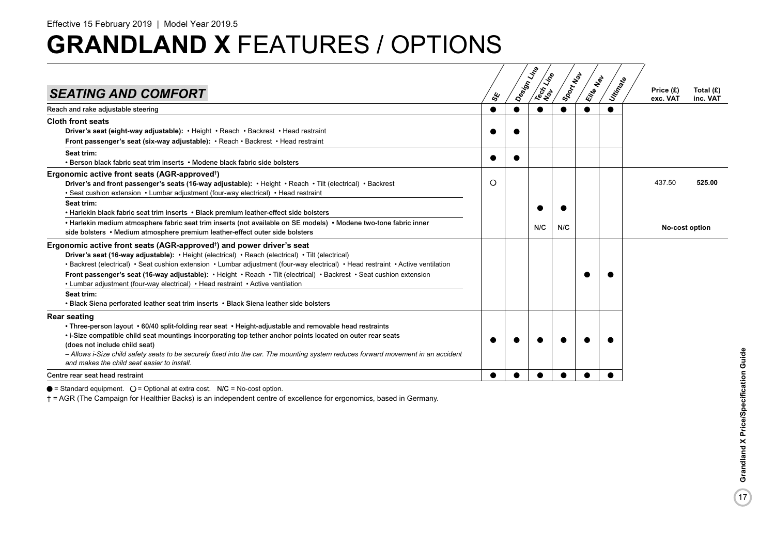| <b>SEATING AND COMFORT</b>                                                                                                                                                                                                                                                                                                                                                                                                                                                                                                            | ధ్య | Design Line<br><b>INSTRACT</b> | Sport Have | Elite Map | Utin Rate | Price (£)<br>exc. VAT | Total (£)<br>inc. VAT |
|---------------------------------------------------------------------------------------------------------------------------------------------------------------------------------------------------------------------------------------------------------------------------------------------------------------------------------------------------------------------------------------------------------------------------------------------------------------------------------------------------------------------------------------|-----|--------------------------------|------------|-----------|-----------|-----------------------|-----------------------|
| Reach and rake adjustable steering                                                                                                                                                                                                                                                                                                                                                                                                                                                                                                    |     | $\bullet$                      |            |           |           |                       |                       |
| <b>Cloth front seats</b><br>Driver's seat (eight-way adjustable): • Height • Reach • Backrest • Head restraint<br>Front passenger's seat (six-way adjustable): • Reach • Backrest • Head restraint                                                                                                                                                                                                                                                                                                                                    |     |                                |            |           |           |                       |                       |
| Seat trim:<br>• Berson black fabric seat trim inserts • Modene black fabric side bolsters                                                                                                                                                                                                                                                                                                                                                                                                                                             |     |                                |            |           |           |                       |                       |
| Ergonomic active front seats (AGR-approved <sup>†</sup> )<br>Driver's and front passenger's seats (16-way adjustable): • Height • Reach • Tilt (electrical) • Backrest<br>• Seat cushion extension • Lumbar adjustment (four-way electrical) • Head restraint                                                                                                                                                                                                                                                                         | O   |                                |            |           |           | 437.50                | 525.00                |
| Seat trim:<br>• Harlekin black fabric seat trim inserts • Black premium leather-effect side bolsters<br>• Harlekin medium atmosphere fabric seat trim inserts (not available on SE models) • Modene two-tone fabric inner<br>side bolsters • Medium atmosphere premium leather-effect outer side bolsters                                                                                                                                                                                                                             |     | N/C                            | N/C        |           |           |                       | <b>No-cost option</b> |
| Ergonomic active front seats (AGR-approved <sup>+</sup> ) and power driver's seat<br>Driver's seat (16-way adjustable): • Height (electrical) • Reach (electrical) • Tilt (electrical)<br>• Backrest (electrical) • Seat cushion extension • Lumbar adjustment (four-way electrical) • Head restraint • Active ventilation<br>Front passenger's seat (16-way adjustable): • Height • Reach • Tilt (electrical) • Backrest • Seat cushion extension<br>• Lumbar adjustment (four-way electrical) • Head restraint • Active ventilation |     |                                |            |           |           |                       |                       |
| Seat trim:<br>• Black Siena perforated leather seat trim inserts • Black Siena leather side bolsters                                                                                                                                                                                                                                                                                                                                                                                                                                  |     |                                |            |           |           |                       |                       |
| <b>Rear seating</b><br>• Three-person layout • 60/40 split-folding rear seat • Height-adjustable and removable head restraints<br>. i-Size compatible child seat mountings incorporating top tether anchor points located on outer rear seats<br>(does not include child seat)<br>- Allows i-Size child safety seats to be securely fixed into the car. The mounting system reduces forward movement in an accident<br>and makes the child seat easier to install.                                                                    |     |                                |            |           |           |                       |                       |
| Centre rear seat head restraint                                                                                                                                                                                                                                                                                                                                                                                                                                                                                                       |     |                                |            |           |           |                       |                       |

 $\bullet$  = Standard equipment.  $O =$  Optional at extra cost. N/C = No-cost option.

† = AGR (The Campaign for Healthier Backs) is an independent centre of excellence for ergonomics, based in Germany.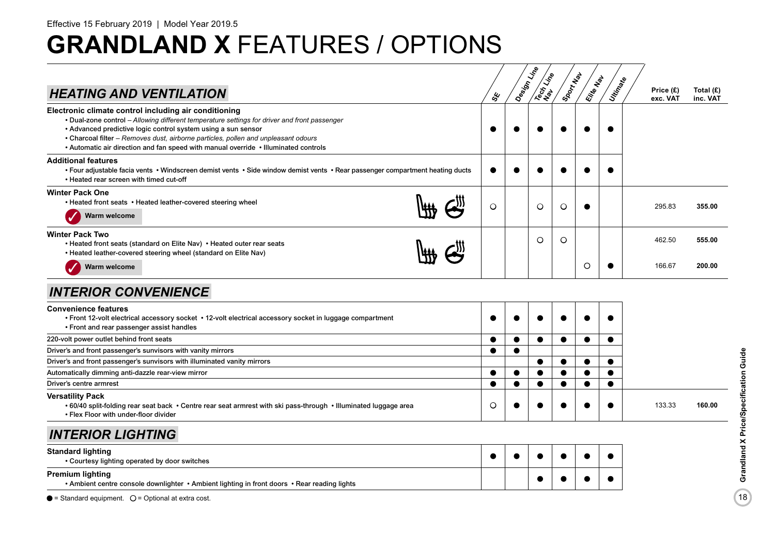|                                                                                                                                                                                                                                                                                                                                                                                                     |           | Design Line | Tech Life | ISDON NBI | Elite Map | Unitings  |                       |                         |
|-----------------------------------------------------------------------------------------------------------------------------------------------------------------------------------------------------------------------------------------------------------------------------------------------------------------------------------------------------------------------------------------------------|-----------|-------------|-----------|-----------|-----------|-----------|-----------------------|-------------------------|
| <b>HEATING AND VENTILATION</b>                                                                                                                                                                                                                                                                                                                                                                      | ధ్య       |             |           |           |           |           | Price (£)<br>exc. VAT | Total $(E)$<br>inc. VAT |
| Electronic climate control including air conditioning<br>• Dual-zone control - Allowing different temperature settings for driver and front passenger<br>• Advanced predictive logic control system using a sun sensor<br>• Charcoal filter - Removes dust, airborne particles, pollen and unpleasant odours<br>• Automatic air direction and fan speed with manual override • Illuminated controls |           |             |           |           |           |           |                       |                         |
| <b>Additional features</b><br>• Four adjustable facia vents • Windscreen demist vents • Side window demist vents • Rear passenger compartment heating ducts<br>. Heated rear screen with timed cut-off                                                                                                                                                                                              |           |             |           |           |           |           |                       |                         |
| <b>Winter Pack One</b><br>• Heated front seats • Heated leather-covered steering wheel<br>Warm welcome                                                                                                                                                                                                                                                                                              | $\circ$   |             | O         | O         | 0         |           | 295.83                | 355.00                  |
| <b>Winter Pack Two</b><br>• Heated front seats (standard on Elite Nav) • Heated outer rear seats<br>• Heated leather-covered steering wheel (standard on Elite Nav)<br>Warm welcome                                                                                                                                                                                                                 |           |             | $\circ$   | $\circ$   | O         |           | 462.50<br>166.67      | 555.00<br>200.00        |
| <b>INTERIOR CONVENIENCE</b>                                                                                                                                                                                                                                                                                                                                                                         |           |             |           |           |           |           |                       |                         |
| Convenience features<br>• Front 12-volt electrical accessory socket • 12-volt electrical accessory socket in luggage compartment<br>• Front and rear passenger assist handles                                                                                                                                                                                                                       |           |             |           |           |           |           |                       |                         |
| 220-volt power outlet behind front seats                                                                                                                                                                                                                                                                                                                                                            |           |             | $\bullet$ |           | $\bullet$ |           |                       |                         |
| Driver's and front passenger's sunvisors with vanity mirrors                                                                                                                                                                                                                                                                                                                                        | $\bullet$ | $\bullet$   |           |           |           |           |                       |                         |
| Driver's and front passenger's sunvisors with illuminated vanity mirrors                                                                                                                                                                                                                                                                                                                            |           |             |           |           |           |           |                       |                         |
| Automatically dimming anti-dazzle rear-view mirror                                                                                                                                                                                                                                                                                                                                                  |           |             |           |           |           |           |                       |                         |
| Driver's centre armrest                                                                                                                                                                                                                                                                                                                                                                             | $\bullet$ |             | $\bullet$ |           |           | $\bullet$ |                       |                         |
| Versatility Pack<br>• 60/40 split-folding rear seat back • Centre rear seat armrest with ski pass-through • Illuminated luggage area<br>• Flex Floor with under-floor divider                                                                                                                                                                                                                       | O         |             |           |           |           |           | 133.33                | 160.00                  |
| <b>INTERIOR LIGHTING</b>                                                                                                                                                                                                                                                                                                                                                                            |           |             |           |           |           |           |                       |                         |
| <b>Standard lighting</b><br>• Courtesy lighting operated by door switches                                                                                                                                                                                                                                                                                                                           |           |             |           |           |           |           |                       |                         |
| <b>Premium lighting</b><br>. Ambient centre console downlighter • Ambient lighting in front doors • Rear reading lights                                                                                                                                                                                                                                                                             |           |             |           |           |           |           |                       |                         |
| $\bullet$ - Standard equipment $\cap$ - Optional at extra cost                                                                                                                                                                                                                                                                                                                                      |           |             |           |           |           |           |                       |                         |

 $\bullet$  = Standard equipment.  $\circ$  = Optional at extra cost.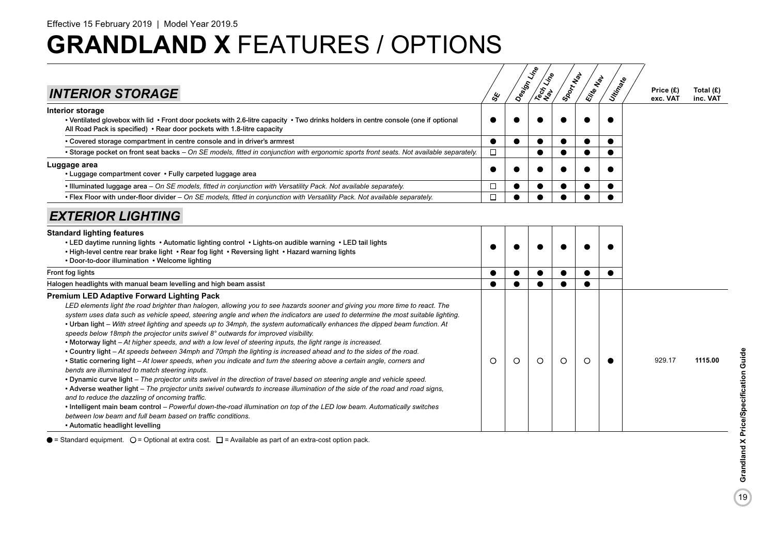| <b>INTERIOR STORAGE</b>                                                                                                                                                                                                                                                                                                                                                                                                                                                                                                                                                                                                                                                                                                                                                                                                                                                                                                                                                                                                                                                                                                                                                                                                                                                                                                                                                                                                                                                                                             | ఢ్త       | Design Line | Tech Life | Sport New | Elite Map | Utin <sub>Ratio</sub> | Price (£)<br>exc. VAT | Total $(E)$<br>inc. VAT |
|---------------------------------------------------------------------------------------------------------------------------------------------------------------------------------------------------------------------------------------------------------------------------------------------------------------------------------------------------------------------------------------------------------------------------------------------------------------------------------------------------------------------------------------------------------------------------------------------------------------------------------------------------------------------------------------------------------------------------------------------------------------------------------------------------------------------------------------------------------------------------------------------------------------------------------------------------------------------------------------------------------------------------------------------------------------------------------------------------------------------------------------------------------------------------------------------------------------------------------------------------------------------------------------------------------------------------------------------------------------------------------------------------------------------------------------------------------------------------------------------------------------------|-----------|-------------|-----------|-----------|-----------|-----------------------|-----------------------|-------------------------|
| Interior storage<br>• Ventilated glovebox with lid • Front door pockets with 2.6-litre capacity • Two drinks holders in centre console (one if optional<br>All Road Pack is specified) • Rear door pockets with 1.8-litre capacity                                                                                                                                                                                                                                                                                                                                                                                                                                                                                                                                                                                                                                                                                                                                                                                                                                                                                                                                                                                                                                                                                                                                                                                                                                                                                  |           |             |           |           |           |                       |                       |                         |
| • Covered storage compartment in centre console and in driver's armrest                                                                                                                                                                                                                                                                                                                                                                                                                                                                                                                                                                                                                                                                                                                                                                                                                                                                                                                                                                                                                                                                                                                                                                                                                                                                                                                                                                                                                                             | $\bullet$ |             |           |           | $\bullet$ |                       |                       |                         |
| • Storage pocket on front seat backs - On SE models, fitted in conjunction with ergonomic sports front seats. Not available separately.                                                                                                                                                                                                                                                                                                                                                                                                                                                                                                                                                                                                                                                                                                                                                                                                                                                                                                                                                                                                                                                                                                                                                                                                                                                                                                                                                                             | $\Box$    |             |           |           |           |                       |                       |                         |
| Luggage area<br>• Luggage compartment cover • Fully carpeted luggage area                                                                                                                                                                                                                                                                                                                                                                                                                                                                                                                                                                                                                                                                                                                                                                                                                                                                                                                                                                                                                                                                                                                                                                                                                                                                                                                                                                                                                                           | $\bullet$ |             |           |           |           |                       |                       |                         |
| . Illuminated luggage area - On SE models, fitted in conjunction with Versatility Pack. Not available separately.                                                                                                                                                                                                                                                                                                                                                                                                                                                                                                                                                                                                                                                                                                                                                                                                                                                                                                                                                                                                                                                                                                                                                                                                                                                                                                                                                                                                   | □         |             |           |           |           |                       |                       |                         |
| • Flex Floor with under-floor divider – On SE models, fitted in conjunction with Versatility Pack. Not available separately.                                                                                                                                                                                                                                                                                                                                                                                                                                                                                                                                                                                                                                                                                                                                                                                                                                                                                                                                                                                                                                                                                                                                                                                                                                                                                                                                                                                        | $\Box$    |             |           |           |           |                       |                       |                         |
| <b>EXTERIOR LIGHTING</b>                                                                                                                                                                                                                                                                                                                                                                                                                                                                                                                                                                                                                                                                                                                                                                                                                                                                                                                                                                                                                                                                                                                                                                                                                                                                                                                                                                                                                                                                                            |           |             |           |           |           |                       |                       |                         |
| <b>Standard lighting features</b><br>• LED daytime running lights • Automatic lighting control • Lights-on audible warning • LED tail lights<br>. High-level centre rear brake light . Rear fog light . Reversing light . Hazard warning lights<br>• Door-to-door illumination • Welcome lighting                                                                                                                                                                                                                                                                                                                                                                                                                                                                                                                                                                                                                                                                                                                                                                                                                                                                                                                                                                                                                                                                                                                                                                                                                   |           |             |           |           |           |                       |                       |                         |
| Front fog lights                                                                                                                                                                                                                                                                                                                                                                                                                                                                                                                                                                                                                                                                                                                                                                                                                                                                                                                                                                                                                                                                                                                                                                                                                                                                                                                                                                                                                                                                                                    |           |             |           |           |           |                       |                       |                         |
| Halogen headlights with manual beam levelling and high beam assist                                                                                                                                                                                                                                                                                                                                                                                                                                                                                                                                                                                                                                                                                                                                                                                                                                                                                                                                                                                                                                                                                                                                                                                                                                                                                                                                                                                                                                                  |           |             |           |           |           |                       |                       |                         |
| <b>Premium LED Adaptive Forward Lighting Pack</b><br>LED elements light the road brighter than halogen, allowing you to see hazards sooner and giving you more time to react. The<br>system uses data such as vehicle speed, steering angle and when the indicators are used to determine the most suitable lighting.<br>• Urban light – With street lighting and speeds up to 34mph, the system automatically enhances the dipped beam function. At<br>speeds below 18mph the projector units swivel $8^{\circ}$ outwards for improved visibility.<br>• Motorway light – At higher speeds, and with a low level of steering inputs, the light range is increased.<br>• Country light – At speeds between 34mph and 70mph the lighting is increased ahead and to the sides of the road.<br>• Static cornering light - At lower speeds, when you indicate and turn the steering above a certain angle, corners and<br>bends are illuminated to match steering inputs.<br>• Dynamic curve light – The projector units swivel in the direction of travel based on steering angle and vehicle speed.<br>• Adverse weather light – The projector units swivel outwards to increase illumination of the side of the road and road signs,<br>and to reduce the dazzling of oncoming traffic.<br>. Intelligent main beam control - Powerful down-the-road illumination on top of the LED low beam. Automatically switches<br>between low beam and full beam based on traffic conditions.<br>• Automatic headlight levelling | $\circ$   | $\circ$     | $\circ$   | $\circ$   | $\circ$   |                       | 929.17                | 1115.00                 |

 $\bullet$  = Standard equipment.  $\bigcirc$  = Optional at extra cost.  $\Box$  = Available as part of an extra-cost option pack.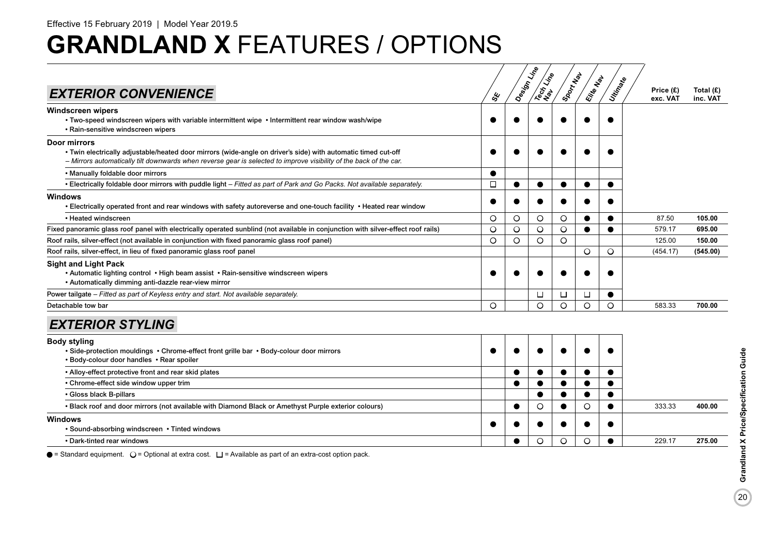| <b>EXTERIOR CONVENIENCE</b>                                                                                                                                                                                                                                | ళ్ల     | Design Line | <b>Rest Line</b> | Sport New | Elite Map | Utingele  | Price (£)<br>exc. VAT | Total $(E)$<br>inc. VAT |
|------------------------------------------------------------------------------------------------------------------------------------------------------------------------------------------------------------------------------------------------------------|---------|-------------|------------------|-----------|-----------|-----------|-----------------------|-------------------------|
| Windscreen wipers<br>• Two-speed windscreen wipers with variable intermittent wipe • Intermittent rear window wash/wipe<br>• Rain-sensitive windscreen wipers                                                                                              |         |             |                  |           |           |           |                       |                         |
| <b>Door mirrors</b><br>• Twin electrically adjustable/heated door mirrors (wide-angle on driver's side) with automatic timed cut-off<br>- Mirrors automatically tilt downwards when reverse gear is selected to improve visibility of the back of the car. |         |             |                  |           |           |           |                       |                         |
| • Manually foldable door mirrors                                                                                                                                                                                                                           |         |             |                  |           |           |           |                       |                         |
| • Electrically foldable door mirrors with puddle light - Fitted as part of Park and Go Packs. Not available separately.                                                                                                                                    | □       | ●           | ●                |           | $\bullet$ | $\bullet$ |                       |                         |
| Windows<br>• Electrically operated front and rear windows with safety autoreverse and one-touch facility • Heated rear window                                                                                                                              |         |             |                  |           |           |           |                       |                         |
| • Heated windscreen                                                                                                                                                                                                                                        | $\circ$ | O           | O                | $\circ$   |           |           | 87.50                 | 105.00                  |
| Fixed panoramic glass roof panel with electrically operated sunblind (not available in conjunction with silver-effect roof rails)                                                                                                                          | $\circ$ | $\circ$     | $\circ$          | $\circ$   | $\bullet$ | ●         | 579.17                | 695.00                  |
| Roof rails, silver-effect (not available in conjunction with fixed panoramic glass roof panel)                                                                                                                                                             | $\circ$ | $\circ$     | O                | $\circ$   |           |           | 125.00                | 150.00                  |
| Roof rails, silver-effect, in lieu of fixed panoramic glass roof panel                                                                                                                                                                                     |         |             |                  |           | $\circ$   | $\circ$   | (454.17)              | (545.00)                |
| <b>Sight and Light Pack</b><br>• Automatic lighting control • High beam assist • Rain-sensitive windscreen wipers<br>• Automatically dimming anti-dazzle rear-view mirror                                                                                  |         |             |                  |           |           |           |                       |                         |
| Power tailgate - Fitted as part of Keyless entry and start. Not available separately.                                                                                                                                                                      |         |             | □                | □         | $\Box$    |           |                       |                         |
| Detachable tow bar                                                                                                                                                                                                                                         | $\circ$ |             | O                | $\circ$   | $\circ$   | $\circ$   | 583.33                | 700.00                  |
| <b>EXTERIOR STYLING</b>                                                                                                                                                                                                                                    |         |             |                  |           |           |           |                       |                         |
| <b>Body styling</b><br>• Side-protection mouldings • Chrome-effect front grille bar • Body-colour door mirrors<br>• Body-colour door handles • Rear spoiler                                                                                                |         |             |                  |           |           |           |                       |                         |
| • Alloy-effect protective front and rear skid plates                                                                                                                                                                                                       |         |             |                  |           | $\bullet$ |           |                       |                         |
| • Chrome-effect side window upper trim                                                                                                                                                                                                                     |         | €           | $\bullet$        |           | $\bullet$ | $\bullet$ |                       |                         |
| • Gloss black B-pillars                                                                                                                                                                                                                                    |         |             |                  |           |           |           |                       |                         |
| . Black roof and door mirrors (not available with Diamond Black or Amethyst Purple exterior colours)                                                                                                                                                       |         |             | O                |           | O         |           | 333.33                | 400.00                  |
| Windows<br>• Sound-absorbing windscreen • Tinted windows                                                                                                                                                                                                   |         |             |                  |           |           |           |                       |                         |

• Dark-tinted rear windows **and a local contract a local contract a local contract a local contract a local contract a local contract a local contract a local contract a local contract a local contract a local contract a l** 

 $\bullet$  = Standard equipment.  $\bigcirc$  = Optional at extra cost.  $\Box$  = Available as part of an extra-cost option pack.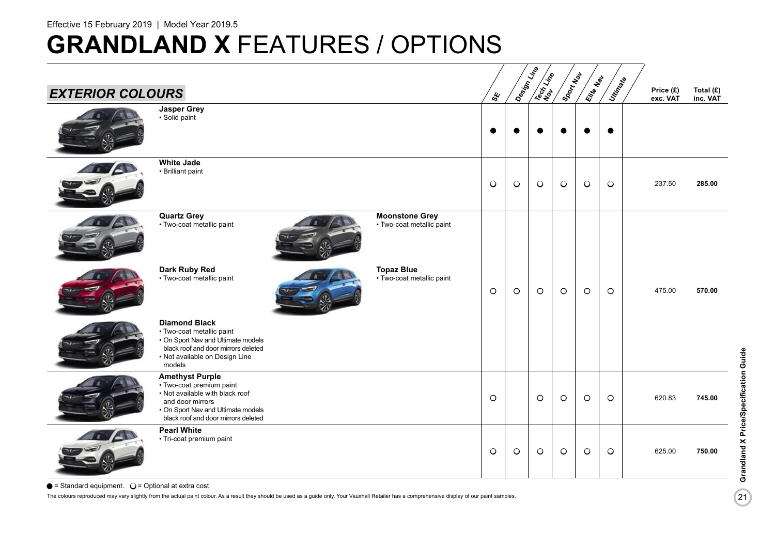| <b>EXTERIOR COLOURS</b> |                                                                                                                                                                                        |                                                    | sy      | Design Line | <b>SERVISE</b> | Sport May | Elite Map | Unitingle | Price (£)<br>exc. VAT | Total $(E)$<br>inc. VAT |
|-------------------------|----------------------------------------------------------------------------------------------------------------------------------------------------------------------------------------|----------------------------------------------------|---------|-------------|----------------|-----------|-----------|-----------|-----------------------|-------------------------|
|                         | <b>Jasper Grey</b><br>· Solid paint                                                                                                                                                    |                                                    |         |             |                |           |           | $\bullet$ |                       |                         |
|                         | <b>White Jade</b><br>• Brilliant paint                                                                                                                                                 |                                                    | $\circ$ | $\circ$     | $\bigcirc$     | $\circ$   | $\circ$   | $\circ$   | 237.50                | 285.00                  |
|                         | <b>Quartz Grey</b><br>· Two-coat metallic paint                                                                                                                                        | <b>Moonstone Grey</b><br>• Two-coat metallic paint |         |             |                |           |           |           |                       |                         |
|                         | Dark Ruby Red<br>• Two-coat metallic paint                                                                                                                                             | <b>Topaz Blue</b><br>• Two-coat metallic paint     | $\circ$ | $\circ$     | $\circ$        | $\circ$   | $\circ$   | $\circ$   | 475.00                | 570.00                  |
|                         | <b>Diamond Black</b><br>• Two-coat metallic paint<br>• On Sport Nav and Ultimate models<br>black roof and door mirrors deleted<br>• Not available on Design Line<br>models             |                                                    |         |             |                |           |           |           |                       |                         |
|                         | <b>Amethyst Purple</b><br>· Two-coat premium paint<br>• Not available with black roof<br>and door mirrors<br>• On Sport Nav and Ultimate models<br>black roof and door mirrors deleted |                                                    | $\circ$ |             | $\circ$        | $\circ$   | $\circ$   | $\circ$   | 620.83                | 745.00                  |
|                         | <b>Pearl White</b><br>• Tri-coat premium paint                                                                                                                                         |                                                    | $\circ$ | $\circ$     | $\bigcirc$     | $\circ$   | $\circ$   | $\circ$   | 625.00                | 750.00                  |

 $\bullet$  = Standard equipment.  $\circ$  = Optional at extra cost.

The colours reproduced may vary slightly from the actual paint colour. As a result they should be used as a guide only. Your Vauxhall Retailer has a comprehensive display of our paint samples.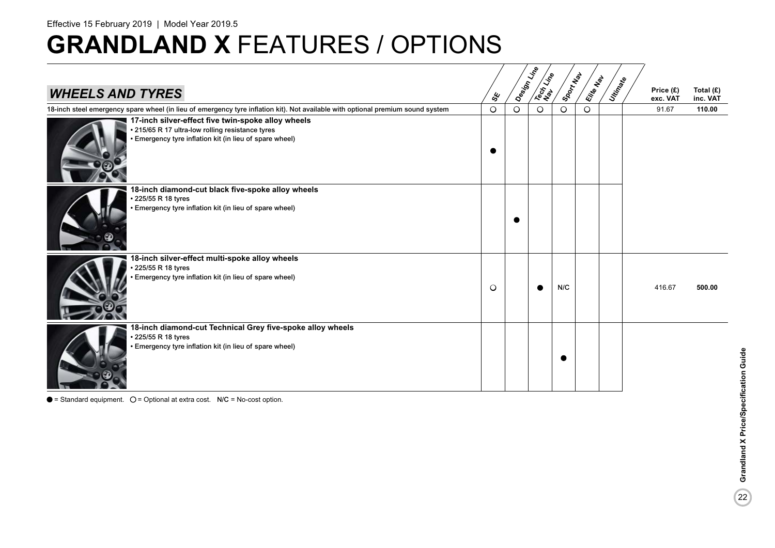### Effective 15 February 2019 | Model Year 2019.5

## **GRANDLAND X** FEATURES / OPTIONS

| <b>WHEELS AND TYRES</b>                                                                                                                                           | ధ్య     | Design Line | Tech Life | ISOON NON | Elite Map | Utingele | Price (£)<br>exc. VAT | Total $(E)$<br>inc. VAT |
|-------------------------------------------------------------------------------------------------------------------------------------------------------------------|---------|-------------|-----------|-----------|-----------|----------|-----------------------|-------------------------|
| 18-inch steel emergency spare wheel (in lieu of emergency tyre inflation kit). Not available with optional premium sound system                                   | $\circ$ | $\circ$     | $\circ$   | $\circ$   | $\circ$   |          | 91.67                 | 110.00                  |
| 17-inch silver-effect five twin-spoke alloy wheels<br>• 215/65 R 17 ultra-low rolling resistance tyres<br>· Emergency tyre inflation kit (in lieu of spare wheel) |         |             |           |           |           |          |                       |                         |
| 18-inch diamond-cut black five-spoke alloy wheels<br>225/55 R 18 tyres<br>· Emergency tyre inflation kit (in lieu of spare wheel)                                 |         |             |           |           |           |          |                       |                         |
| 18-inch silver-effect multi-spoke alloy wheels<br>225/55 R 18 tyres<br>Emergency tyre inflation kit (in lieu of spare wheel)                                      | $\circ$ |             |           | N/C       |           |          | 416.67                | 500.00                  |
| 18-inch diamond-cut Technical Grey five-spoke alloy wheels<br>225/55 R 18 tyres<br>Emergency tyre inflation kit (in lieu of spare wheel)                          |         |             |           |           |           |          |                       |                         |

 $\bullet$  = Standard equipment.  $\circ$  = Optional at extra cost. N/C = No-cost option.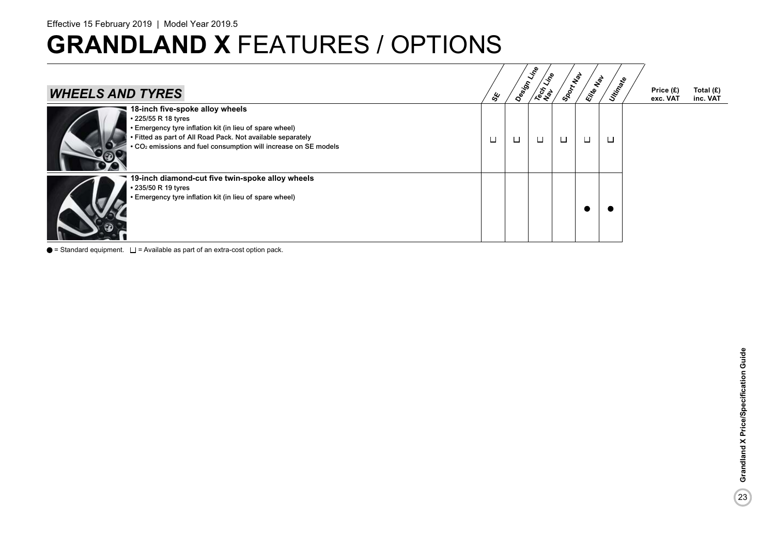| <b>WHEELS AND TYRES</b>                                                                                                                                                                                                                                         | త్త    | Design Line | Tech Line | SportMap | Elite Nat | Urtin Rete | Price (£)<br>exc. VAT | Total (£)<br>inc. VAT |
|-----------------------------------------------------------------------------------------------------------------------------------------------------------------------------------------------------------------------------------------------------------------|--------|-------------|-----------|----------|-----------|------------|-----------------------|-----------------------|
| 18-inch five-spoke alloy wheels<br>• 225/55 R 18 tyres<br>• Emergency tyre inflation kit (in lieu of spare wheel)<br>• Fitted as part of All Road Pack. Not available separately<br>• CO <sub>2</sub> emissions and fuel consumption will increase on SE models | $\Box$ | □           | □         | $\Box$   | □         | □          |                       |                       |
| 19-inch diamond-cut five twin-spoke alloy wheels<br>• 235/50 R 19 tyres<br>• Emergency tyre inflation kit (in lieu of spare wheel)                                                                                                                              |        |             |           |          |           |            |                       |                       |

 $\bullet$  = Standard equipment.  $\square$  = Available as part of an extra-cost option pack.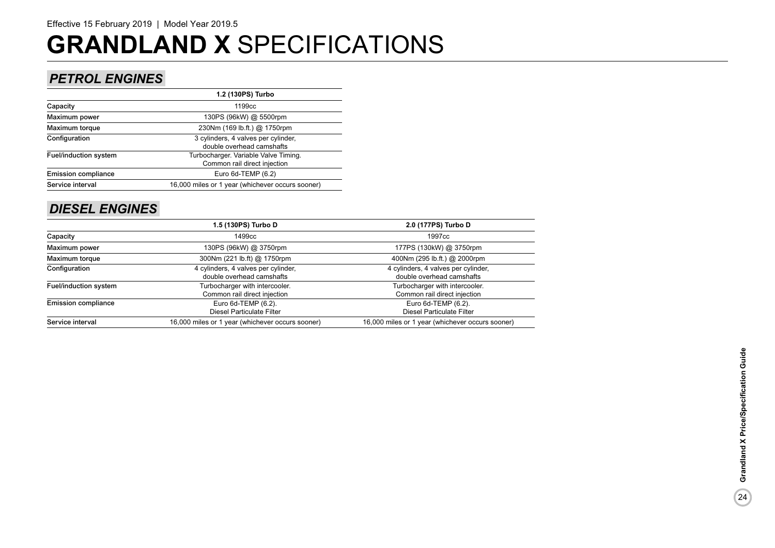### *PETROL ENGINES*

|                              | 1.2 (130PS) Turbo                                                    |
|------------------------------|----------------------------------------------------------------------|
| Capacity                     | 1199 <sub>cc</sub>                                                   |
| Maximum power                | 130PS (96kW) @ 5500rpm                                               |
| Maximum torque               | 230Nm (169 lb.ft.) @ 1750rpm                                         |
| Configuration                | 3 cylinders, 4 valves per cylinder,<br>double overhead camshafts     |
| <b>Fuel/induction system</b> | Turbocharger. Variable Valve Timing.<br>Common rail direct injection |
| <b>Emission compliance</b>   | Euro $6d$ -TEMP $(6.2)$                                              |
| Service interval             | 16,000 miles or 1 year (whichever occurs sooner)                     |
|                              |                                                                      |

### *DIESEL ENGINES*

|                            | 1.5 (130PS) Turbo D                              | 2.0 (177PS) Turbo D                              |
|----------------------------|--------------------------------------------------|--------------------------------------------------|
| Capacity                   | 1499cc                                           | 1997cc                                           |
| Maximum power              | 130PS (96kW) @ 3750rpm                           | 177PS (130kW) @ 3750rpm                          |
| Maximum torque             | 300Nm (221 lb.ft) @ 1750rpm                      | 400Nm (295 lb.ft.) @ 2000rpm                     |
| Configuration              | 4 cylinders, 4 valves per cylinder,              | 4 cylinders, 4 valves per cylinder,              |
|                            | double overhead camshafts                        | double overhead camshafts                        |
| Fuel/induction system      | Turbocharger with intercooler.                   | Turbocharger with intercooler.                   |
|                            | Common rail direct injection                     | Common rail direct injection                     |
| <b>Emission compliance</b> | Euro 6d-TEMP (6.2).                              | Euro 6d-TEMP (6.2).                              |
|                            | <b>Diesel Particulate Filter</b>                 | <b>Diesel Particulate Filter</b>                 |
| Service interval           | 16,000 miles or 1 year (whichever occurs sooner) | 16,000 miles or 1 year (whichever occurs sooner) |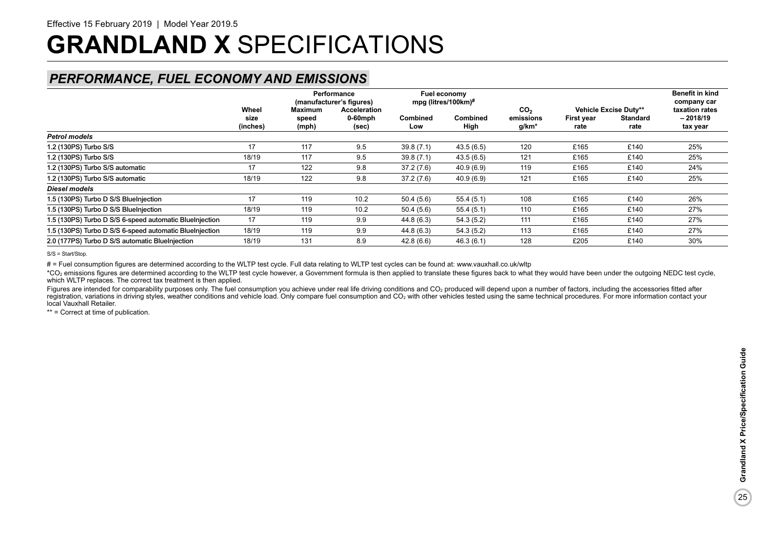### *PERFORMANCE, FUEL ECONOMY AND EMISSIONS*

|                                                         |                           | <b>Maximum</b> | Performance<br>(manufacturer's figures) |                        | Fuel economy<br>mpg (litres/100km)# |                                       |                    |                                                  | <b>Benefit in kind</b><br>company car<br>taxation rates<br>$-2018/19$<br>tax year |  |
|---------------------------------------------------------|---------------------------|----------------|-----------------------------------------|------------------------|-------------------------------------|---------------------------------------|--------------------|--------------------------------------------------|-----------------------------------------------------------------------------------|--|
|                                                         | Wheel<br>size<br>(inches) | speed<br>(mph) | Acceleration<br>$0-60$ mph<br>(sec)     | <b>Combined</b><br>Low | <b>Combined</b><br>High             | CO <sub>2</sub><br>emissions<br>g/km* | First year<br>rate | Vehicle Excise Duty**<br><b>Standard</b><br>rate |                                                                                   |  |
| <b>Petrol models</b>                                    |                           |                |                                         |                        |                                     |                                       |                    |                                                  |                                                                                   |  |
| 1.2 (130PS) Turbo S/S                                   | 17                        | 117            | 9.5                                     | 39.8(7.1)              | 43.5(6.5)                           | 120                                   | £165               | £140                                             | 25%                                                                               |  |
| 1.2 (130PS) Turbo S/S                                   | 18/19                     | 117            | 9.5                                     | 39.8(7.1)              | 43.5(6.5)                           | 121                                   | £165               | £140                                             | 25%                                                                               |  |
| 1.2 (130PS) Turbo S/S automatic                         | 17                        | 122            | 9.8                                     | 37.2 (7.6)             | 40.9 (6.9)                          | 119                                   | £165               | £140                                             | 24%                                                                               |  |
| 1.2 (130PS) Turbo S/S automatic                         | 18/19                     | 122            | 9.8                                     | 37.2(7.6)              | 40.9 (6.9)                          | 121                                   | £165               | £140                                             | 25%                                                                               |  |
| Diesel models                                           |                           |                |                                         |                        |                                     |                                       |                    |                                                  |                                                                                   |  |
| 1.5 (130PS) Turbo D S/S BlueInjection                   | 17                        | 119            | 10.2                                    | 50.4(5.6)              | 55.4(5.1)                           | 108                                   | £165               | £140                                             | 26%                                                                               |  |
| 1.5 (130PS) Turbo D S/S BlueInjection                   | 18/19                     | 119            | 10.2                                    | 50.4(5.6)              | 55.4(5.1)                           | 110                                   | £165               | £140                                             | 27%                                                                               |  |
| 1.5 (130PS) Turbo D S/S 6-speed automatic BlueInjection | 17                        | 119            | 9.9                                     | 44.8 (6.3)             | 54.3(5.2)                           | 111                                   | £165               | £140                                             | 27%                                                                               |  |
| 1.5 (130PS) Turbo D S/S 6-speed automatic BlueInjection | 18/19                     | 119            | 9.9                                     | 44.8 (6.3)             | 54.3(5.2)                           | 113                                   | £165               | £140                                             | 27%                                                                               |  |
| 2.0 (177PS) Turbo D S/S automatic BlueInjection         | 18/19                     | 131            | 8.9                                     | 42.8(6.6)              | 46.3 (6.1)                          | 128                                   | £205               | £140                                             | 30%                                                                               |  |

S/S = Start/Stop.

# = Fuel consumption figures are determined according to the WLTP test cycle. Full data relating to WLTP test cycles can be found at: www.vauxhall.co.uk/wltp

\*CO<sub>2</sub> emissions figures are determined according to the WLTP test cycle however, a Government formula is then applied to translate these figures back to what they would have been under the outgoing NEDC test cycle. which WLTP replaces. The correct tax treatment is then applied.

Figures are intended for comparability purposes only. The fuel consumption you achieve under real life driving conditions and CO<sub>2</sub> produced will depend upon a number of factors, including the accessories fitted after registration, variations in driving styles, weather conditions and vehicle load. Only compare fuel consumption and CO<sub>2</sub> with other vehicles tested using the same technical procedures. For more information contact your local Vauxhall Retailer.

\*\* = Correct at time of publication.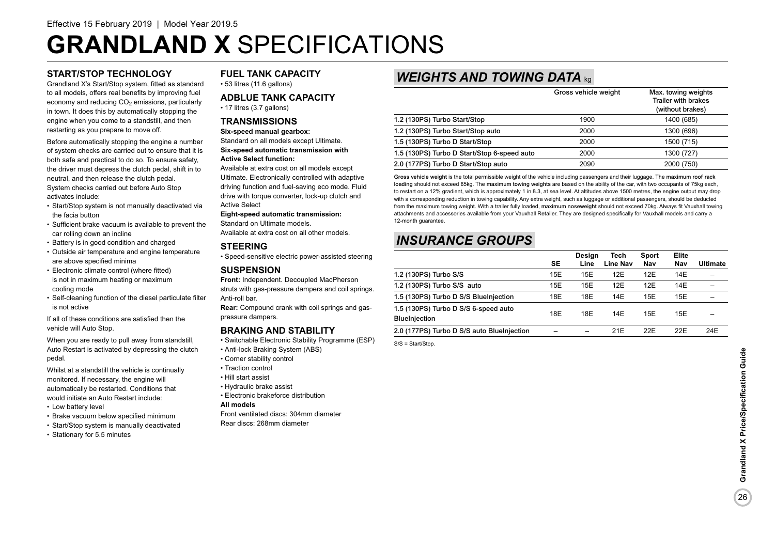### **START/STOP TECHNOLOGY**

Grandland X's Start/Stop system, fitted as standard to all models, offers real benefits by improving fuel economy and reducing  $CO<sub>2</sub>$  emissions, particularly in town. It does this by automatically stopping the engine when you come to a standstill, and then restarting as you prepare to move off.

Before automatically stopping the engine a number of system checks are carried out to ensure that it is both safe and practical to do so. To ensure safety, the driver must depress the clutch pedal, shift in to neutral, and then release the clutch pedal. System checks carried out before Auto Stop activates include:

- Start/Stop system is not manually deactivated via the facia button
- Sufficient brake vacuum is available to prevent the car rolling down an incline
- Battery is in good condition and charged
- Outside air temperature and engine temperature are above specified minima
- Electronic climate control (where fitted) is not in maximum heating or maximum cooling mode
- Self-cleaning function of the diesel particulate filter is not active

If all of these conditions are satisfied then the vehicle will Auto Stop.

When you are ready to pull away from standstill, Auto Restart is activated by depressing the clutch pedal.

Whilst at a standstill the vehicle is continually monitored. If necessary, the engine will automatically be restarted. Conditions that would initiate an Auto Restart include:

- Low battery level
- Brake vacuum below specified minimum
- Start/Stop system is manually deactivated
- Stationary for 5.5 minutes

### **FUEL TANK CAPACITY**

• 53 litres (11.6 gallons)

### **ADBLUE TANK CAPACITY**

• 17 litres (3.7 gallons)

### **TRANSMISSIONS**

### **Six-speed manual gearbox:** Standard on all models except Ultimate. **Six-speed automatic transmission with**

**Active Select function:**

Available at extra cost on all models except Ultimate. Electronically controlled with adaptive driving function and fuel-saving eco mode. Fluid drive with torque converter, lock-up clutch and Active Select

### **Eight-speed automatic transmission:**

Standard on Ultimate models. Available at extra cost on all other models.

### **STEERING**

• Speed-sensitive electric power-assisted steering

### **SUSPENSION**

**Front:** Independent. Decoupled MacPherson struts with gas-pressure dampers and coil springs. Anti-roll bar.

**Rear:** Compound crank with coil springs and gaspressure dampers.

### **BRAKING AND STABILITY**

- Switchable Electronic Stability Programme (ESP)
- Anti-lock Braking System (ABS)
- Corner stability control
- Traction control
- Hill start assist
- Hydraulic brake assist
- Electronic brakeforce distribution

### **All models**

Front ventilated discs: 304mm diameter Rear discs: 268mm diameter

### *WEIGHTS AND TOWING DATA* kg

|                                             | Gross vehicle weight | Max. towing weights<br><b>Trailer with brakes</b><br>(without brakes) |
|---------------------------------------------|----------------------|-----------------------------------------------------------------------|
| 1.2 (130PS) Turbo Start/Stop                | 1900                 | 1400 (685)                                                            |
| 1.2 (130PS) Turbo Start/Stop auto           | 2000                 | 1300 (696)                                                            |
| 1.5 (130PS) Turbo D Start/Stop              | 2000                 | 1500 (715)                                                            |
| 1.5 (130PS) Turbo D Start/Stop 6-speed auto | 2000                 | 1300 (727)                                                            |
| 2.0 (177PS) Turbo D Start/Stop auto         | 2090                 | 2000 (750)                                                            |

Gross vehicle weight is the total permissible weight of the vehicle including passengers and their luggage. The maximum roof rack loading should not exceed 85kg. The maximum towing weights are based on the ability of the car, with two occupants of 75kg each, to restart on a 12% gradient, which is approximately 1 in 8.3, at sea level. At altitudes above 1500 metres, the engine output may drop with a corresponding reduction in towing capability. Any extra weight, such as luggage or additional passengers, should be deducted from the maximum towing weight. With a trailer fully loaded, maximum noseweight should not exceed 70kg. Always fit Vauxhall towing attachments and accessories available from your Vauxhall Retailer. They are designed specifically for Vauxhall models and carry a 12-month guarantee.

### *INSURANCE GROUPS*

|                                                              | <b>SE</b> | Design<br>Line | Tech<br>Line Nav | Sport<br>Nav | Elite<br>Nav | <b>Ultimate</b> |
|--------------------------------------------------------------|-----------|----------------|------------------|--------------|--------------|-----------------|
| 1.2 (130PS) Turbo S/S                                        | 15E       | 15E            | 12E              | 12E          | 14E          |                 |
| 1.2 (130PS) Turbo S/S auto                                   | 15E       | 15E            | 12E              | 12E          | 14E          |                 |
| 1.5 (130PS) Turbo D S/S BlueInjection                        | 18E       | 18E            | 14E              | 15E          | 15E          |                 |
| 1.5 (130PS) Turbo D S/S 6-speed auto<br><b>BlueInjection</b> | 18E       | 18E            | 14E              | 15E          | 15E          |                 |
| 2.0 (177PS) Turbo D S/S auto BlueInjection                   |           |                | 21E              | 22E          | 22E          | 24E             |

S/S = Start/Stop.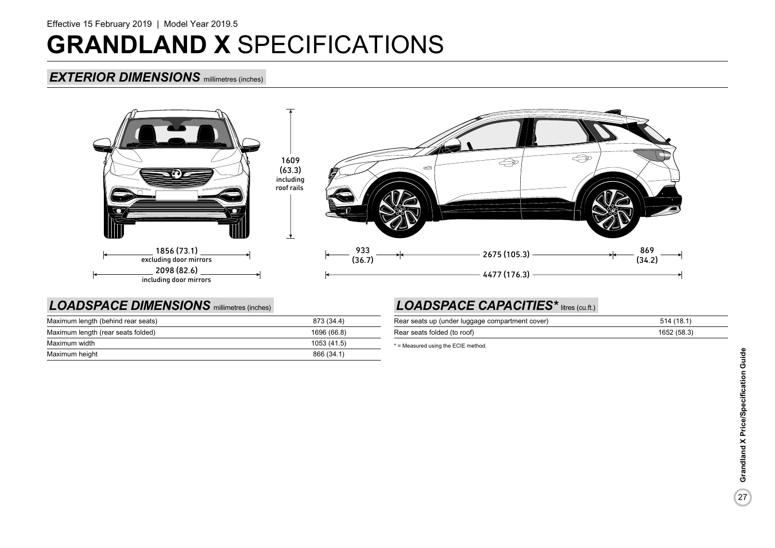### *EXTERIOR DIMENSIONS* millimetres (inches)



### *LOADSPACE DIMENSIONS* millimetres (inches)

| Maximum length (behind rear seats) | 873 (34.4)  |
|------------------------------------|-------------|
| Maximum length (rear seats folded) | 1696 (66.8) |
| Maximum width                      | 1053 (41.5) |
| Maximum height                     | 866 (34.1)  |

### LOADSPACE CAPACITIES<sup>\*</sup> litres (cu.ft.)

| Rear seats up (under luggage compartment cover) | 514 (18.1)  |
|-------------------------------------------------|-------------|
| Rear seats folded (to roof)                     | 1652 (58.3) |

\* = Measured using the ECIE method.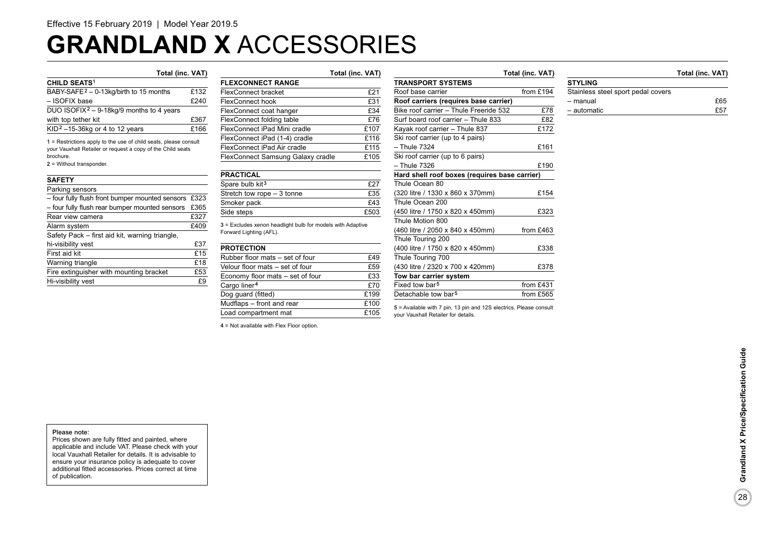# **GRANDLAND X** ACCESSORIES

| <b>CHILD SEATS<sup>1</sup></b>                       |      |
|------------------------------------------------------|------|
| BABY-SAFE <sup>2</sup> - 0-13kg/birth to 15 months   | £132 |
| - ISOFIX base                                        | £240 |
| DUO ISOFIX <sup>2</sup> – 9-18kg/9 months to 4 years |      |
| with top tether kit                                  | £367 |
| KID <sup>2</sup> $-15-36$ kg or 4 to 12 years        | £166 |
|                                                      |      |

1 = Restrictions apply to the use of child seats, please consult your Vauxhall Retailer or request a copy of the Child seats brochure.

2 = Without transponder.

#### **SAFETY**

| Parking sensors                                      |      |
|------------------------------------------------------|------|
| - four fully flush front bumper mounted sensors £323 |      |
| - four fully flush rear bumper mounted sensors       | £365 |
| Rear view camera                                     | £327 |
| Alarm system                                         | £409 |
| Safety Pack - first aid kit, warning triangle,       |      |
| hi-visibility vest                                   | £37  |
| First aid kit                                        | £15  |
| Warning triangle                                     | £18  |
| Fire extinguisher with mounting bracket              | £53  |
| Hi-visibility vest                                   | £9   |

### **Total (inc. VAT) Total (inc. VAT) Total (inc. VAT) Total (inc. VAT) FLEXCONNECT RANGE**  FlexConnect bracket **£21**<br>FlexConnect hook **£31** FlexConnect hook FlexConnect coat hanger E34 FlexConnect folding table  $£76$ FlexConnect iPad Mini cradle E107 FlexConnect iPad (1-4) cradle E116 FlexConnect iPad Air cradle E115 FlexConnect Samsung Galaxy cradle £105

| <b>PRACTICAL</b>            |      |
|-----------------------------|------|
| Spare bulb kit <sup>3</sup> | £27  |
| Stretch tow rope - 3 tonne  | £35  |
| Smoker pack                 | f43  |
| Side steps                  | £503 |

3 = Excludes xenon headlight bulb for models with Adaptive Forward Lighting (AFL).

| £49  |
|------|
| £59  |
| £33  |
| £70  |
| £199 |
| £100 |
| £105 |
|      |

4 = Not available with Flex Floor option.

**TRANSPORT SYSTEMS** Roof base carrier from £194 **Roof carriers (requires base carrier)** Bike roof carrier – Thule Freeride 532 £78 Surf board roof carrier – Thule 833 £82 Kayak roof carrier – Thule  $837$  £172 Ski roof carrier (up to 4 pairs) – Thule 7324 £161 Ski roof carrier (up to 6 pairs) – Thule 7326 £190 **Hard shell roof boxes (requires base carrier)** Thule Ocean 80 (320 litre / 1330 x 860 x 370mm) £154 Thule Ocean 200 (450 litre / 1750 x 820 x 450mm) £323 Thule Motion 800 (460 litre / 2050 x 840 x 450mm) from £463 Thule Touring 200 (400 litre / 1750 x 820 x 450mm) £338 Thule Touring 700 (430 litre / 2320 x 700 x 420mm) £378 **Tow bar carrier system** Fixed tow bar<sup>5</sup> from £431 Detachable tow bar<sup>5</sup> from  $f565$ 

5 = Available with 7 pin, 13 pin and 12S electrics. Please consult your Vauxhall Retailer for details.

**STYLING**

| ,,,,,,,,                           |     |
|------------------------------------|-----|
| Stainless steel sport pedal covers |     |
| - manual                           | £65 |
| - automatic                        | £57 |

28

#### Please note:

Prices shown are fully fitted and painted, where applicable and include VAT. Please check with your local Vauxhall Retailer for details. It is advisable to ensure your insurance policy is adequate to cover additional fitted accessories. Prices correct at time of publication.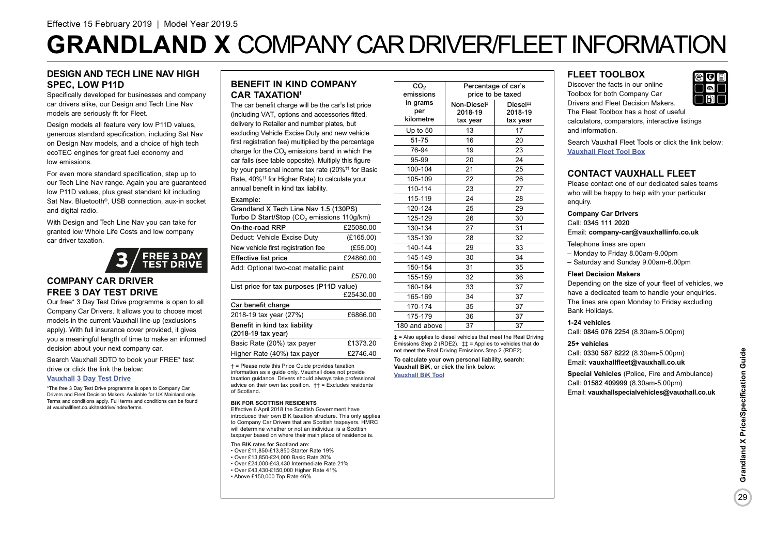# **GRANDLAND X** COMPANY CAR DRIVER/FLEET INFORMATION

### **DESIGN AND TECH LINE NAV HIGH SPEC, LOW P11D**

Specifically developed for businesses and company car drivers alike, our Design and Tech Line Nav models are seriously fit for Fleet.

Design models all feature very low P11D values. generous standard specification, including Sat Nav on Design Nav models, and a choice of high tech ecoTEC engines for great fuel economy and low emissions.

For even more standard specification, step up to our Tech Line Nav range. Again you are guaranteed low P11D values, plus great standard kit including Sat Nav, Bluetooth<sup>®</sup>, USB connection, aux-in socket and digital radio.

With Design and Tech Line Nav you can take for granted low Whole Life Costs and low company car driver taxation.



### **COMPANY CAR DRIVER FREE 3 DAY TEST DRIVE**

Our free\* 3 Day Test Drive programme is open to all Company Car Drivers. It allows you to choose most models in the current Vauxhall line-up (exclusions apply). With full insurance cover provided, it gives you a meaningful length of time to make an informed decision about your next company car.

Search Vauxhall 3DTD to book your FREE\* test

drive or click the link the below:

### **[Vauxhall 3 Day Test Drive](https://www.vauxhall.co.uk/tools/fleet/testdrive.html)**

\*The free 3 Day Test Drive programme is open to Company Car Drivers and Fleet Decision Makers. Available for UK Mainland only. Terms and conditions apply. Full terms and conditions can be found at vauxhallfleet.co.uk/testdrive/index/terms.

### **BENEFIT IN KIND COMPANY CAR TAXATION†**

The car benefit charge will be the car's list price (including VAT, options and accessories fitted, delivery to Retailer and number plates, but excluding Vehicle Excise Duty and new vehicle first registration fee) multiplied by the percentage  $charae$  for the  $CO<sub>2</sub>$  emissions band in which the car falls (see table opposite). Multiply this figure by your personal income tax rate (20%<sup>++</sup> for Basid Rate, 40%†† for Higher Rate) to calculate your annual benefit in kind tax liability.

#### Example:

| Grandland X Tech Line Nav 1.5 (130PS)<br>Turbo D Start/Stop (CO <sub>2</sub> emissions 110g/km) |           |
|-------------------------------------------------------------------------------------------------|-----------|
| On-the-road RRP                                                                                 | £25080.00 |
| Deduct: Vehicle Excise Duty                                                                     | (E165.00) |
| New vehicle first registration fee                                                              | (E55.00)  |
| <b>Effective list price</b>                                                                     | £24860.00 |
| Add: Optional two-coat metallic paint                                                           |           |
|                                                                                                 | £570.00   |
| List price for tax purposes (P11D value)                                                        |           |
|                                                                                                 | £25430.00 |
| Car benefit charge                                                                              |           |
| 2018-19 tax year (27%)                                                                          | £6866.00  |
| Benefit in kind tax liability<br>(2018-19 tax year)                                             |           |
| Basic Rate (20%) tax payer                                                                      | £1373.20  |

Higher Rate (40%) tax payer £2746.40 † = Please note this Price Guide provides taxation

information as a guide only. Vauxhall does not provide taxation guidance. Drivers should always take professional advice on their own tax position.  $\uparrow \uparrow$  = Excludes residents of Scotland.

#### **BIK FOR SCOTTISH RESIDENTS**

Effective 6 April 2018 the Scottish Government have introduced their own BIK taxation structure. This only applies to Company Car Drivers that are Scottish taxpayers. HMRC will determine whether or not an individual is a Scottish taxpayer based on where their main place of residence is.

The BIK rates for Scotland are:

- Over £11,850-£13,850 Starter Rate 19% • Over £13,850-£24,000 Basic Rate 20%
- Over £24,000-£43,430 Intermediate Rate 21%
- Over £43,430-£150,000 Higher Rate 41%
- Above £150,000 Top Rate 46%

| CO <sub>2</sub> |                         | Percentage of car's  |
|-----------------|-------------------------|----------------------|
| emissions       |                         | price to be taxed    |
| in grams        | Non-Diesel <sup>#</sup> | Diesel <sup>##</sup> |
| per             | 2018-19                 | 2018-19              |
| kilometre       | tax year                | tax year             |
| Up to $50$      | 13                      | 17                   |
| 51-75           | 16                      | 20                   |
| 76-94           | 19                      | 23                   |
| 95-99           | 20                      | 24                   |
| 100-104         | 21                      | 25                   |
| 105-109         | 22                      | 26                   |
| 110-114         | 23                      | 27                   |
| 115-119         | 24                      | 28                   |
| 120-124         | 25                      | 29                   |
| 125-129         | 26                      | 30                   |
| 130-134         | 27                      | 31                   |
| 135-139         | 28                      | 32                   |
| 140-144         | 29                      | 33                   |
| 145-149         | 30                      | 34                   |
| 150-154         | 31                      | 35                   |
| 155-159         | 32                      | 36                   |
| 160-164         | 33                      | 37                   |
| 165-169         | 34                      | 37                   |
| 170-174         | 35                      | 37                   |
| 175-179         | 36                      | 37                   |
| 180 and above   | 37                      | 37                   |
|                 |                         |                      |

‡ = Also applies to diesel vehicles that meet the Real Driving Emissions Step 2 (RDE2). ‡‡ = Applies to vehicles that do not meet the Real Driving Emissions Step 2 (RDE2).

To calculate your own personal liability, search: **Vauxhall BiK**, or click the link below: **[Vauxhall BiK Tool](https://www.vauxhall.co.uk/fleet/tools-and-apps.html)**

### **FLEET TOOLBOX**

Discover the facts in our online Toolbox for both Company Car Drivers and Fleet Decision Makers. The Fleet Toolbox has a host of useful calculators, comparators, interactive listings and information.

Search Vauxhall Fleet Tools or click the link below: **[Vauxhall Fleet Tool Box](https://www.vauxhall.co.uk/fleet/tools-and-apps.html)**

### **CONTACT VAUXHALL FLEET**

Please contact one of our dedicated sales teams who will be happy to help with your particular enquiry.

**Company Car Drivers**

Call: 0345 111 2020 Email: **company-car@vauxhallinfo.co.uk**

Telephone lines are open

– Monday to Friday 8.00am-9.00pm

– Saturday and Sunday 9.00am-6.00pm

### **Fleet Decision Makers**

Depending on the size of your fleet of vehicles, we have a dedicated team to handle your enquiries. The lines are open Monday to Friday excluding Bank Holidays.

#### **1-24 vehicles**

Call: 0845 076 2254 (8.30am-5.00pm)

#### **25+ vehicles**

Call: 0330 587 8222 (8.30am-5.00pm) Email: **vauxhallfleet@vauxhall.co.uk**

**Special Vehicles** (Police, Fire and Ambulance) Call: 01582 409999 (8.30am-5.00pm) Email: **vauxhallspecialvehicles@vauxhall.co.uk**

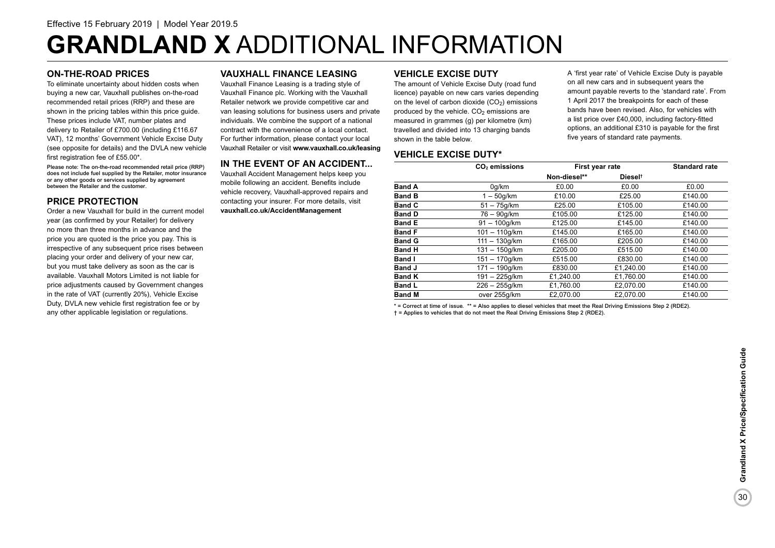# **GRANDLAND X** ADDITIONAL INFORMATION

### **ON-THE-ROAD PRICES**

To eliminate uncertainty about hidden costs when buying a new car, Vauxhall publishes on-the-road recommended retail prices (RRP) and these are shown in the pricing tables within this price guide. These prices include VAT, number plates and delivery to Retailer of £700.00 (including £116.67 VAT), 12 months' Government Vehicle Excise Duty (see opposite for details) and the DVLA new vehicle first registration fee of £55.00\*.

Please note: The on-the-road recommended retail price (RRP) does not include fuel supplied by the Retailer, motor insurance or any other goods or services supplied by agreement between the Retailer and the customer.

### **PRICE PROTECTION**

Order a new Vauxhall for build in the current model year (as confirmed by your Retailer) for delivery no more than three months in advance and the price you are quoted is the price you pay. This is irrespective of any subsequent price rises between placing your order and delivery of your new car, but you must take delivery as soon as the car is available. Vauxhall Motors Limited is not liable for price adjustments caused by Government changes in the rate of VAT (currently 20%), Vehicle Excise Duty, DVLA new vehicle first registration fee or by any other applicable legislation or regulations.

### **VAUXHALL FINANCE LEASING**

Vauxhall Finance Leasing is a trading style of Vauxhall Finance plc. Working with the Vauxhall Retailer network we provide competitive car and van leasing solutions for business users and private individuals. We combine the support of a national contract with the convenience of a local contact. For further information, please contact your local Vauxhall Retailer or visit **www.vauxhall.co.uk/leasing**

### **IN THE EVENT OF AN ACCIDENT...**

Vauxhall Accident Management helps keep you mobile following an accident. Benefits include vehicle recovery, Vauxhall-approved repairs and contacting your insurer. For more details, visit **vauxhall.co.uk/AccidentManagement**

### **VEHICLE EXCISE DUTY**

The amount of Vehicle Excise Duty (road fund licence) payable on new cars varies depending on the level of carbon dioxide  $(CO<sub>2</sub>)$  emissions produced by the vehicle.  $CO<sub>2</sub>$  emissions are measured in grammes (g) per kilometre (km) travelled and divided into 13 charging bands shown in the table below.

A 'first year rate' of Vehicle Excise Duty is payable on all new cars and in subsequent years the amount payable reverts to the 'standard rate'. From 1 April 2017 the breakpoints for each of these bands have been revised. Also, for vehicles with a list price over £40,000, including factory-fitted options, an additional £310 is payable for the first five years of standard rate payments.

### **VEHICLE EXCISE DUTY\***

|               | CO <sub>2</sub> emissions | First year rate |                     | <b>Standard rate</b> |
|---------------|---------------------------|-----------------|---------------------|----------------------|
|               |                           | Non-diesel**    | Diesel <sup>t</sup> |                      |
| <b>Band A</b> | 0q/km                     | £0.00           | £0.00               | £0.00                |
| <b>Band B</b> | $1-50q/km$                | £10.00          | £25.00              | £140.00              |
| <b>Band C</b> | $51 - 75q/km$             | £25.00          | £105.00             | £140.00              |
| <b>Band D</b> | 76 – 90a/km               | £105.00         | £125.00             | £140.00              |
| <b>Band E</b> | $91 - 100q/km$            | £125.00         | £145.00             | £140.00              |
| <b>Band F</b> | $101 - 110a/km$           | £145.00         | £165.00             | £140.00              |
| <b>Band G</b> | $111 - 130q/km$           | £165.00         | £205.00             | £140.00              |
| <b>Band H</b> | $131 - 150q/km$           | £205.00         | £515.00             | £140.00              |
| <b>Band I</b> | $151 - 170q/km$           | £515.00         | £830.00             | £140.00              |
| <b>Band J</b> | $171 - 190q/km$           | £830.00         | £1.240.00           | £140.00              |
| <b>Band K</b> | $191 - 225$ g/km          | £1.240.00       | £1.760.00           | £140.00              |
| <b>Band L</b> | $226 - 255$ g/km          | £1,760.00       | £2.070.00           | £140.00              |
| <b>Band M</b> | over 255g/km              | £2.070.00       | £2.070.00           | £140.00              |

\* = Correct at time of issue. \*\* = Also applies to diesel vehicles that meet the Real Driving Emissions Step 2 (RDE2). † = Applies to vehicles that do not meet the Real Driving Emissions Step 2 (RDE2).